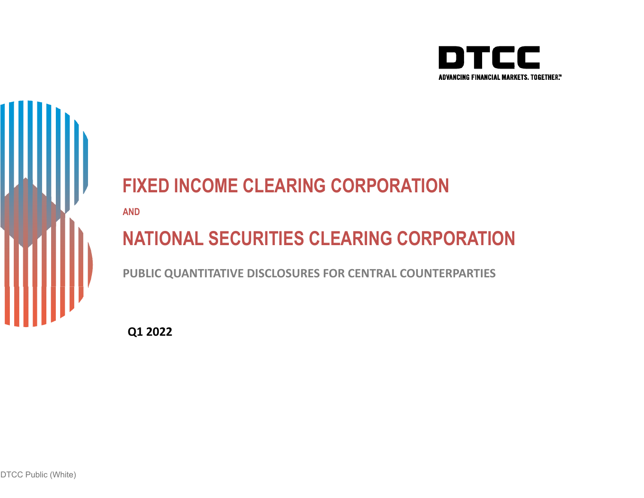



# **FIXED INCOME CLEARING CORPORATION**

**AND**

# **NATIONAL SECURITIES CLEARING CORPORATION**

**PUBLIC QUANTITATIVE DISCLOSURES FOR CENTRAL COUNTERPARTIES**

**Q1 2022**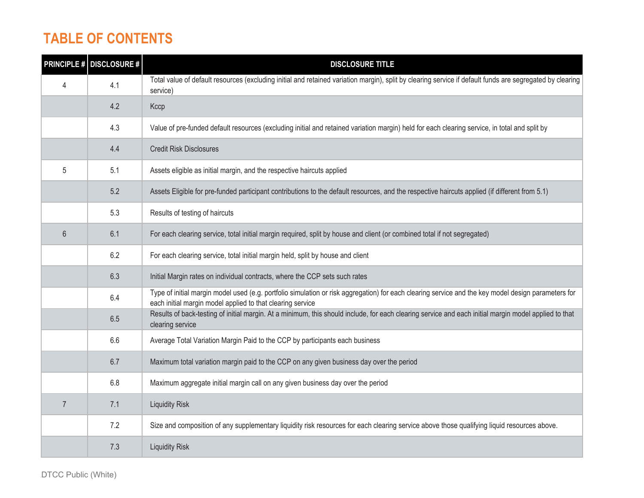## **TABLE OF CONTENTS**

|                | <b>PRINCIPLE # DISCLOSURE #</b> | <b>DISCLOSURE TITLE</b>                                                                                                                                                                                           |
|----------------|---------------------------------|-------------------------------------------------------------------------------------------------------------------------------------------------------------------------------------------------------------------|
| 4              | 4.1                             | Total value of default resources (excluding initial and retained variation margin), split by clearing service if default funds are segregated by clearing<br>service)                                             |
|                | 4.2                             | Kccp                                                                                                                                                                                                              |
|                | 4.3                             | Value of pre-funded default resources (excluding initial and retained variation margin) held for each clearing service, in total and split by                                                                     |
|                | 4.4                             | <b>Credit Risk Disclosures</b>                                                                                                                                                                                    |
| 5              | 5.1                             | Assets eligible as initial margin, and the respective haircuts applied                                                                                                                                            |
|                | 5.2                             | Assets Eligible for pre-funded participant contributions to the default resources, and the respective haircuts applied (if different from 5.1)                                                                    |
|                | 5.3                             | Results of testing of haircuts                                                                                                                                                                                    |
| $6\phantom{1}$ | 6.1                             | For each clearing service, total initial margin required, split by house and client (or combined total if not segregated)                                                                                         |
|                | 6.2                             | For each clearing service, total initial margin held, split by house and client                                                                                                                                   |
|                | 6.3                             | Initial Margin rates on individual contracts, where the CCP sets such rates                                                                                                                                       |
|                | 6.4                             | Type of initial margin model used (e.g. portfolio simulation or risk aggregation) for each clearing service and the key model design parameters for<br>each initial margin model applied to that clearing service |
|                | 6.5                             | Results of back-testing of initial margin. At a minimum, this should include, for each clearing service and each initial margin model applied to that<br>clearing service                                         |
|                | 6.6                             | Average Total Variation Margin Paid to the CCP by participants each business                                                                                                                                      |
|                | 6.7                             | Maximum total variation margin paid to the CCP on any given business day over the period                                                                                                                          |
|                | 6.8                             | Maximum aggregate initial margin call on any given business day over the period                                                                                                                                   |
| $\overline{7}$ | 7.1                             | <b>Liquidity Risk</b>                                                                                                                                                                                             |
|                | 7.2                             | Size and composition of any supplementary liquidity risk resources for each clearing service above those qualifying liquid resources above.                                                                       |
|                | 7.3                             | <b>Liquidity Risk</b>                                                                                                                                                                                             |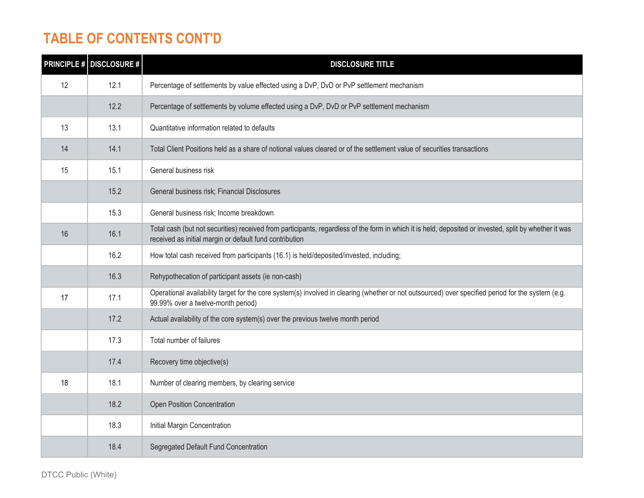## **TABLE OF CONTENTS CONT'D**

|    | <b>PRINCIPLE # DISCLOSURE #</b> | <b>DISCLOSURE TITLE</b>                                                                                                                                                                                           |
|----|---------------------------------|-------------------------------------------------------------------------------------------------------------------------------------------------------------------------------------------------------------------|
| 12 | 12.1                            | Percentage of settlements by value effected using a DvP, DvD or PvP settlement mechanism                                                                                                                          |
|    | 12.2                            | Percentage of settlements by volume effected using a DvP, DvD or PvP settlement mechanism                                                                                                                         |
| 13 | 13.1                            | Quantitative information related to defaults                                                                                                                                                                      |
| 14 | 14.1                            | Total Client Positions held as a share of notional values cleared or of the settlement value of securities transactions                                                                                           |
| 15 | 15.1                            | General business risk                                                                                                                                                                                             |
|    | 15.2                            | General business risk; Financial Disclosures                                                                                                                                                                      |
|    | 15.3                            | General business risk; Income breakdown                                                                                                                                                                           |
| 16 | 16.1                            | Total cash (but not securities) received from participants, regardless of the form in which it is held, deposited or invested, split by whether it was<br>received as initial margin or default fund contribution |
|    | 16.2                            | How total cash received from participants (16.1) is held/deposited/invested, including;                                                                                                                           |
|    | 16.3                            | Rehypothecation of participant assets (ie non-cash)                                                                                                                                                               |
| 17 | 17.1                            | Operational availability target for the core system(s) involved in clearing (whether or not outsourced) over specified period for the system (e.g.<br>99.99% over a twelve-month period)                          |
|    | 17.2                            | Actual availability of the core system(s) over the previous twelve month period                                                                                                                                   |
|    | 17.3                            | Total number of failures                                                                                                                                                                                          |
|    | 17.4                            | Recovery time objective(s)                                                                                                                                                                                        |
| 18 | 18.1                            | Number of clearing members, by clearing service                                                                                                                                                                   |
|    | 18.2                            | Open Position Concentration                                                                                                                                                                                       |
|    | 18.3                            | Initial Margin Concentration                                                                                                                                                                                      |
|    | 18.4                            | Segregated Default Fund Concentration                                                                                                                                                                             |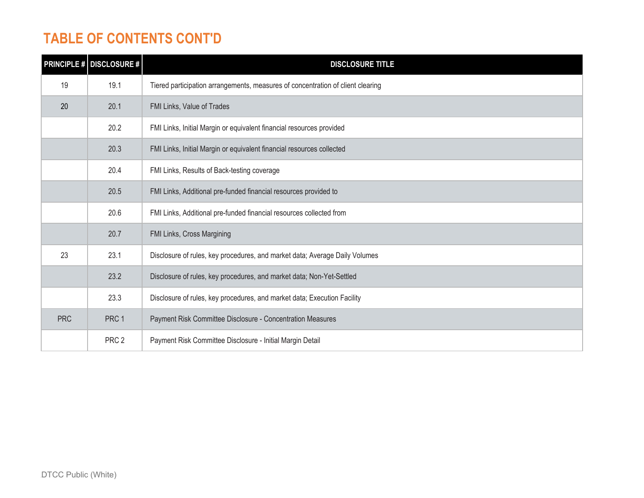## **TABLE OF CONTENTS CONT'D**

|            | <b>PRINCIPLE # DISCLOSURE #</b> | <b>DISCLOSURE TITLE</b>                                                         |
|------------|---------------------------------|---------------------------------------------------------------------------------|
| 19         | 19.1                            | Tiered participation arrangements, measures of concentration of client clearing |
| 20         | 20.1                            | FMI Links, Value of Trades                                                      |
|            | 20.2                            | FMI Links, Initial Margin or equivalent financial resources provided            |
|            | 20.3                            | FMI Links, Initial Margin or equivalent financial resources collected           |
|            | 20.4                            | FMI Links, Results of Back-testing coverage                                     |
|            | 20.5                            | FMI Links, Additional pre-funded financial resources provided to                |
|            | 20.6                            | FMI Links, Additional pre-funded financial resources collected from             |
|            | 20.7                            | FMI Links, Cross Margining                                                      |
| 23         | 23.1                            | Disclosure of rules, key procedures, and market data; Average Daily Volumes     |
|            | 23.2                            | Disclosure of rules, key procedures, and market data; Non-Yet-Settled           |
|            | 23.3                            | Disclosure of rules, key procedures, and market data; Execution Facility        |
| <b>PRC</b> | PRC 1                           | Payment Risk Committee Disclosure - Concentration Measures                      |
|            | PRC <sub>2</sub>                | Payment Risk Committee Disclosure - Initial Margin Detail                       |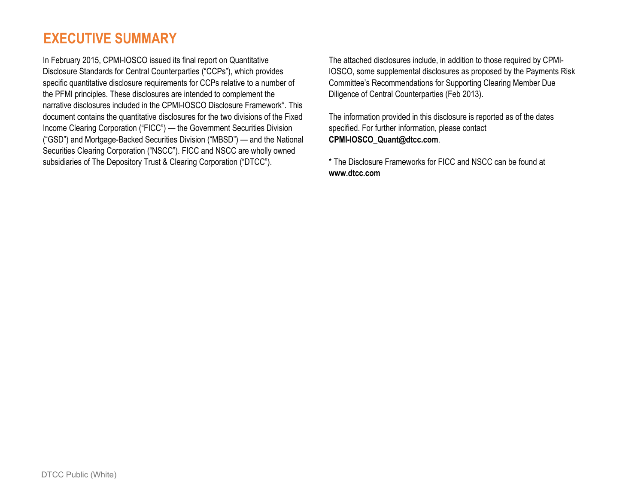## **EXECUTIVE SUMMARY**

In February 2015, CPMI-IOSCO issued its final report on Quantitative Disclosure Standards for Central Counterparties ("CCPs"), which provides specific quantitative disclosure requirements for CCPs relative to a number of the PFMI principles. These disclosures are intended to complement the narrative disclosures included in the CPMI-IOSCO Disclosure Framework\*. This document contains the quantitative disclosures for the two divisions of the Fixed Income Clearing Corporation ("FICC") — the Government Securities Division ("GSD") and Mortgage-Backed Securities Division ("MBSD") — and the National Securities Clearing Corporation ("NSCC"). FICC and NSCC are wholly owned subsidiaries of The Depository Trust & Clearing Corporation ("DTCC").

The attached disclosures include, in addition to those required by CPMI-IOSCO, some supplemental disclosures as proposed by the Payments Risk Committee's Recommendations for Supporting Clearing Member Due Diligence of Central Counterparties (Feb 2013).

The information provided in this disclosure is reported as of the dates specified. For further information, please contact **CPMI-IOSCO\_Quant@dtcc.com**.

\* The Disclosure Frameworks for FICC and NSCC can be found at **www.dtcc.com**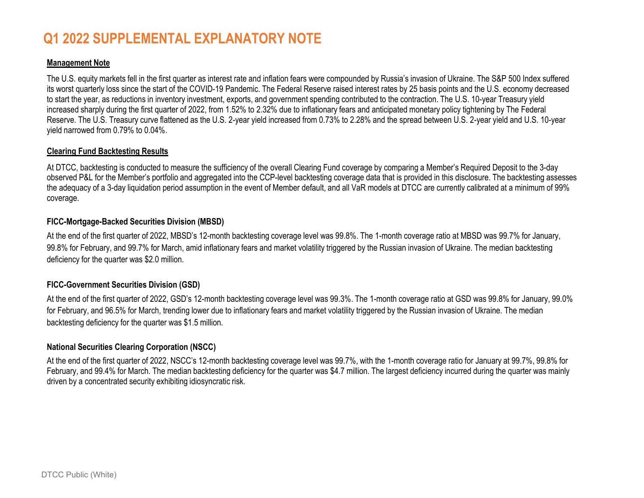## **Q1 2022 SUPPLEMENTAL EXPLANATORY NOTE**

### **Management Note**

The U.S. equity markets fell in the first quarter as interest rate and inflation fears were compounded by Russia's invasion of Ukraine. The S&P 500 Index suffered its worst quarterly loss since the start of the COVID-19 Pandemic. The Federal Reserve raised interest rates by 25 basis points and the U.S. economy decreased to start the year, as reductions in inventory investment, exports, and government spending contributed to the contraction. The U.S. 10-year Treasury yield increased sharply during the first quarter of 2022, from 1.52% to 2.32% due to inflationary fears and anticipated monetary policy tightening by The Federal Reserve. The U.S. Treasury curve flattened as the U.S. 2-year yield increased from 0.73% to 2.28% and the spread between U.S. 2-year yield and U.S. 10-year yield narrowed from 0.79% to 0.04%.

### **Clearing Fund Backtesting Results**

At DTCC, backtesting is conducted to measure the sufficiency of the overall Clearing Fund coverage by comparing a Member's Required Deposit to the 3-day observed P&L for the Member's portfolio and aggregated into the CCP-level backtesting coverage data that is provided in this disclosure. The backtesting assesses the adequacy of a 3-day liquidation period assumption in the event of Member default, and all VaR models at DTCC are currently calibrated at a minimum of 99% coverage.

### **FICC-Mortgage-Backed Securities Division (MBSD)**

At the end of the first quarter of 2022, MBSD's 12-month backtesting coverage level was 99.8%. The 1-month coverage ratio at MBSD was 99.7% for January, 99.8% for February, and 99.7% for March, amid inflationary fears and market volatility triggered by the Russian invasion of Ukraine. The median backtesting deficiency for the quarter was \$2.0 million.

### **FICC-Government Securities Division (GSD)**

At the end of the first quarter of 2022, GSD's 12-month backtesting coverage level was 99.3%. The 1-month coverage ratio at GSD was 99.8% for January, 99.0% for February, and 96.5% for March, trending lower due to inflationary fears and market volatility triggered by the Russian invasion of Ukraine. The median backtesting deficiency for the quarter was \$1.5 million.

### **National Securities Clearing Corporation (NSCC)**

At the end of the first quarter of 2022, NSCC's 12-month backtesting coverage level was 99.7%, with the 1-month coverage ratio for January at 99.7%, 99.8% for February, and 99.4% for March. The median backtesting deficiency for the quarter was \$4.7 million. The largest deficiency incurred during the quarter was mainly driven by a concentrated security exhibiting idiosyncratic risk.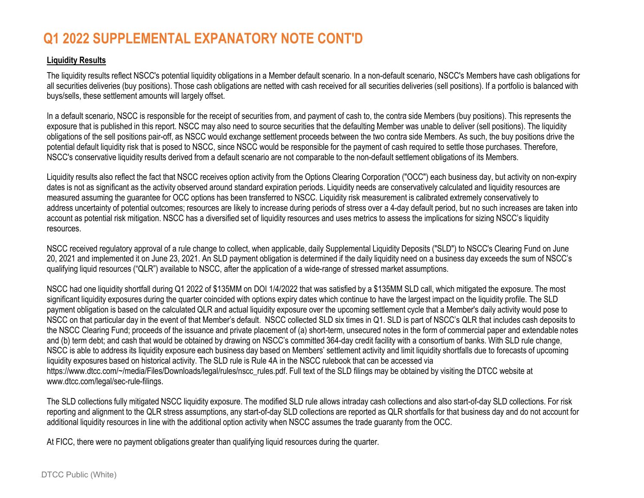## **Q1 2022 SUPPLEMENTAL EXPANATORY NOTE CONT'D**

### **Liquidity Results**

The liquidity results reflect NSCC's potential liquidity obligations in a Member default scenario. In a non-default scenario, NSCC's Members have cash obligations for all securities deliveries (buy positions). Those cash obligations are netted with cash received for all securities deliveries (sell positions). If a portfolio is balanced with buys/sells, these settlement amounts will largely offset.

In a default scenario, NSCC is responsible for the receipt of securities from, and payment of cash to, the contra side Members (buy positions). This represents the exposure that is published in this report. NSCC may also need to source securities that the defaulting Member was unable to deliver (sell positions). The liquidity obligations of the sell positions pair-off, as NSCC would exchange settlement proceeds between the two contra side Members. As such, the buy positions drive the potential default liquidity risk that is posed to NSCC, since NSCCwould be responsible for the payment of cash required to settle those purchases. Therefore, NSCC's conservative liquidity results derived from a default scenario are not comparable to the non-default settlement obligations of its Members.

Liquidity results also reflect the fact that NSCC receives option activity from the Options Clearing Corporation ("OCC") each business day, but activity on non-expiry dates is not as significant as the activity observed around standard expiration periods. Liquidity needs are conservatively calculated and liquidity resources are measured assuming the guarantee for OCC options has been transferred to NSCC. Liquidity risk measurement is calibrated extremely conservatively to address uncertainty of potential outcomes; resources are likely to increase during periods of stress over a 4-day default period, but no such increases are taken into account as potential risk mitigation. NSCC has a diversified set of liquidity resources and uses metrics to assess the implications for sizing NSCC's liquidity resources.

NSCC received regulatory approval of a rule change to collect, when applicable, daily Supplemental Liquidity Deposits ("SLD") to NSCC's Clearing Fund on June<br>22.2334 20, 2021 and implemented it on June 23, 2021. An SLD payment obligation is determined if the daily liquidity need on a business day exceeds the sum of NSCC's qualifying liquid resources ("QLR") available to NSCC, after the application of a wide-range of stressed market assumptions.

NSCC had one liquidity shortfall during Q1 2022 of \$135MM on DOI 1/4/2022 that was satisfied by a \$135MM SLD call, which mitigated the exposure. The most significant liquidity exposures during the quarter coincided with options expiry dates which continue to have the largest impact on the liquidity profile. The SLDpayment obligation is based on the calculated QLR and actual liquidity exposure over the upcoming settlement cycle that a Member's daily activity would pose to the upcoming settlement cycle that a Member's daily activity w NSCC on that particular day in the event of that Member's default. NSCC collected SLD six times in Q1. SLD is part of NSCC's QLR that includes cash deposits to the NSCC Clearing Fund; proceeds of the issuance and private placement of (a) short-term, unsecured notes in the form of commercial paper and extendable notes in the form of commercial paper and extendable notes and (b) term debt; and cash that would be obtained by drawing on NSCC's committed 364-day credit facility with a consortium of banks. With SLD rule change,<br>NSCC is able to address its limidity supposes and business day bas NSCC is able to address its liquidity exposure each business day based on Members' settlement activity and limit liquidity shortfalls due to forecasts of upcoming liquidity exposures based on historical activity. The SLD rule is Rule 4A in the NSCC rulebook that can be accessed via https://www.dtcc.com/~/media/Files/Downloads/legal/rules/nscc\_rules.pdf. Full text of the SLD filings may be obtained by visiting the DTCC website at www.dtcc.com/legal/sec-rule-filings.

The SLD collections fully mitigated NSCC liquidity exposure. The modified SLD rule allows intraday cash collections and also start-of-day SLD collections. For risk reporting and alignment to the QLR stress assumptions, any start-of-day SLD collections are reported as QLR shortfalls for that business day and do not account for additional liquidity resources in line with the additional option activity when NSCC assumes the trade guaranty from the OCC.

At FICC, there were no payment obligations greater than qualifying liquid resources during the quarter.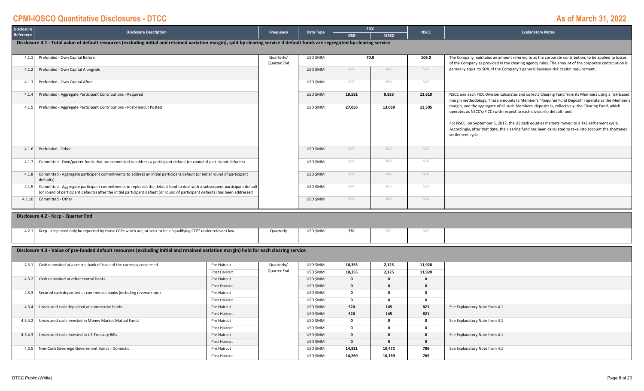| <b>Disclosure</b>  | <b>Disclosure Description</b>                                                                                                                                                                                                                               | Frequency                 | Data Type |            | <b>FICC</b> |             | <b>Explanatory Notes</b>                                                                                                                                                                                                                                                                                                                                                                                      |  |  |  |  |  |
|--------------------|-------------------------------------------------------------------------------------------------------------------------------------------------------------------------------------------------------------------------------------------------------------|---------------------------|-----------|------------|-------------|-------------|---------------------------------------------------------------------------------------------------------------------------------------------------------------------------------------------------------------------------------------------------------------------------------------------------------------------------------------------------------------------------------------------------------------|--|--|--|--|--|
| Reference          |                                                                                                                                                                                                                                                             |                           |           | <b>GSD</b> | <b>MBSD</b> | <b>NSCC</b> |                                                                                                                                                                                                                                                                                                                                                                                                               |  |  |  |  |  |
|                    | Disclosure 4.1 - Total value of default resources (excluding initial and retained variation margin), split by clearing service if default funds are segregated by clearing service                                                                          |                           |           |            |             |             |                                                                                                                                                                                                                                                                                                                                                                                                               |  |  |  |  |  |
| 4.1.1              | Prefunded - Own Capital Before                                                                                                                                                                                                                              | Quarterly/<br>Quarter End | USD \$MM  |            | 70.0        | 106.0       | The Company maintains an amount referred to as the corporate contribution, to be applied to losses<br>of the Company as provided in the clearing agency rules. The amount of the corporate contribution is                                                                                                                                                                                                    |  |  |  |  |  |
| $4.1.\overline{2}$ | Prefunded - Own Capital Alongside                                                                                                                                                                                                                           |                           | USD \$MM  | N/A        | N/A         | N/A         | generally equal to 50% of the Company's general business risk capital requirement.                                                                                                                                                                                                                                                                                                                            |  |  |  |  |  |
| 4.1.               | Prefunded - Own Capital After                                                                                                                                                                                                                               |                           | USD \$MM  | N/A        | N/A         | N/A         |                                                                                                                                                                                                                                                                                                                                                                                                               |  |  |  |  |  |
| 4.1.               | Prefunded - Aggregate Participant Contributions - Required                                                                                                                                                                                                  |                           | USD \$MM  | 19,581     | 9,833       | 12,610      | NSCC and each FICC Division calculates and collects Clearing Fund from its Members using a risk-based<br>margin methodology. These amounts (a Member's "Required Fund Deposit") operate as the Member's                                                                                                                                                                                                       |  |  |  |  |  |
| 4.1.               | Prefunded - Aggregate Participant Contributions - Post-Haircut Posted                                                                                                                                                                                       |                           | USD \$MM  | 27.056     | 13,039      | 13,505      | margin, and the aggregate of all such Members' deposits is, collectively, the Clearing Fund, which<br>operates as NSCC's/FICC (with respect to each division's) default fund.<br>For NSCC, on September 5, 2017, the US cash equities markets moved to a T+2 settlement cycle.<br>Accordingly, after that date, the clearing fund has been calculated to take into account the shortened<br>settlement cycle. |  |  |  |  |  |
| 4.1.6              | Prefunded - Other                                                                                                                                                                                                                                           |                           | USD \$MM  | N/A        | N/A         | N/A         |                                                                                                                                                                                                                                                                                                                                                                                                               |  |  |  |  |  |
| 4.1.7              | Committed - Own/parent funds that are committed to address a participant default (or round of participant defaults)                                                                                                                                         |                           | USD \$MM  | N/A        | N/A         | N/A         |                                                                                                                                                                                                                                                                                                                                                                                                               |  |  |  |  |  |
| 4.1.8              | Committed - Aggregate participant commitments to address an initial participant default (or initial round of participant<br>defaults)                                                                                                                       |                           | USD SMM   | N/A        | N/A         | N/A         |                                                                                                                                                                                                                                                                                                                                                                                                               |  |  |  |  |  |
| 4.1.9              | Committed - Aggregate participant commitments to replenish the default fund to deal with a subsequent participant default<br>(or round of participant defaults) after the initial participant default (or round of participant defaults) has been addressed |                           | USD \$MM  | N/A        | N/A         | N/A         |                                                                                                                                                                                                                                                                                                                                                                                                               |  |  |  |  |  |
| 4.1.10             | Committed - Other                                                                                                                                                                                                                                           |                           | USD \$MM  | N/A        | N/A         | N/A         |                                                                                                                                                                                                                                                                                                                                                                                                               |  |  |  |  |  |

#### **Disclosure 4.2 ‐ Kccp ‐ Quarter End**

| 121 | "rcp need only be reported by those CCPs which are, or seek to be a "qualifying CCP" under relevant law.<br>Ксср - Ксср і | Quarterly | <b>JSD \$MM</b> | 581 |  |
|-----|---------------------------------------------------------------------------------------------------------------------------|-----------|-----------------|-----|--|
|     |                                                                                                                           |           |                 |     |  |
|     |                                                                                                                           |           |                 |     |  |
|     |                                                                                                                           |           |                 |     |  |
|     |                                                                                                                           |           |                 |     |  |

#### Disclosure 4.3 - Value of pre-funded default resources (excluding initial and retained variation margin) held for each clearing service

| 4.3.1   | Cash deposited at a central bank of issue of the currency concerned | Pre Haircut  | Quarterly/  | USD \$MM | 10,355 | 2,125        | 11,920 |                               |
|---------|---------------------------------------------------------------------|--------------|-------------|----------|--------|--------------|--------|-------------------------------|
|         |                                                                     | Post Haircut | Quarter End | USD \$MM | 10,355 | 2.125        | 11,920 |                               |
| 4.3.2   | Cash deposited at other central banks                               | Pre Haircut  |             | USD \$MM |        | $\Omega$     |        |                               |
|         |                                                                     | Post Haircut |             | USD \$MM |        | $\Omega$     |        |                               |
| 4.3.3   | Secured cash deposited at commercial banks (including reverse repo) | Pre Haircut  |             | USD \$MM |        | $\Omega$     |        |                               |
|         |                                                                     | Post Haircut |             | USD \$MM |        | $\Omega$     |        |                               |
| 4.3.4   | Unsecured cash deposited at commercial banks                        | Pre Haircut  |             | USD \$MM | 520    | 145          | 821    | See Explanatory Note from 4.1 |
|         |                                                                     | Post Haircut |             | USD \$MM | 520    | 145          | 821    |                               |
| 4.3.4.2 | Unsecured cash invested in Money Market Mutual Funds                | Pre Haircut  |             | USD \$MM |        | $\Omega$     |        | See Explanatory Note from 4.1 |
|         |                                                                     | Post Haircut |             | USD \$MM |        | $\Omega$     |        |                               |
| 4.3.4.3 | Unsecured cash invested in US Treasury Bills                        | Pre Haircut  |             | USD \$MM |        | $\mathbf{0}$ | 0      | See Explanatory Note from 4.1 |
|         |                                                                     | Post Haircut |             | USD \$MM |        | $\mathbf{0}$ |        |                               |
| 4.3.5   | Non-Cash Sovereign Government Bonds - Domestic                      | Pre Haircut  |             | USD \$MM | 14.821 | 10,472       | 786    | See Explanatory Note from 4.1 |
|         |                                                                     | Post Haircut |             | USD \$MM | 14,269 | 10,169       | 765    |                               |
|         |                                                                     |              |             |          |        |              |        |                               |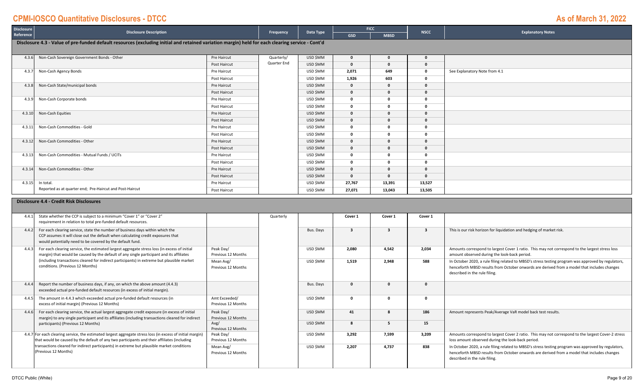**Disclosure**

| <b>Procreame</b><br>Reference | <b>Disclosure Description</b>                                                                                                                    |              | Frequency   | Data Type | <b>GSD</b>   | ____<br><b>MBSD</b> | <b>NSCC</b>  | <b>Explanatory Notes</b>      |  |  |  |  |
|-------------------------------|--------------------------------------------------------------------------------------------------------------------------------------------------|--------------|-------------|-----------|--------------|---------------------|--------------|-------------------------------|--|--|--|--|
|                               | Disclosure 4.3 - Value of pre-funded default resources (excluding initial and retained variation margin) held for each clearing service - Cont'd |              |             |           |              |                     |              |                               |  |  |  |  |
| 4.3.6                         | Non-Cash Sovereign Government Bonds - Other                                                                                                      | Pre Haircut  | Quarterly/  | USD \$MM  | $\mathbf{0}$ | $\mathbf 0$         | 0            |                               |  |  |  |  |
|                               |                                                                                                                                                  | Post Haircut | Quarter End | USD \$MM  | $\Omega$     | $\Omega$            | 0            |                               |  |  |  |  |
| 4.3.                          | Non-Cash Agency Bonds                                                                                                                            | Pre Haircut  |             | USD \$MM  | 2,071        | 649                 | $\mathbf{0}$ | See Explanatory Note from 4.1 |  |  |  |  |
|                               |                                                                                                                                                  | Post Haircut |             | USD \$MM  | 1,926        | 603                 | 0            |                               |  |  |  |  |
| 4.3.8                         | Non-Cash State/municipal bonds                                                                                                                   | Pre Haircut  |             | USD \$MM  | $\Omega$     | $\mathbf{0}$        | 0            |                               |  |  |  |  |
|                               |                                                                                                                                                  | Post Haircut |             | USD \$MM  |              | 0                   | 0            |                               |  |  |  |  |
| 4.3.9                         | Non-Cash Corporate bonds                                                                                                                         | Pre Haircut  |             | USD \$MM  |              | $\Omega$            | 0            |                               |  |  |  |  |
|                               |                                                                                                                                                  | Post Haircut |             | USD \$MM  | $\Omega$     | $\Omega$            | 0            |                               |  |  |  |  |
| 4.3.10                        | Non-Cash Equities                                                                                                                                | Pre Haircut  |             | USD \$MM  | $\Omega$     | $\Omega$            | $\Omega$     |                               |  |  |  |  |
|                               |                                                                                                                                                  | Post Haircut |             | USD \$MM  | $\mathbf{0}$ | $\mathbf{0}$        | $\mathbf{0}$ |                               |  |  |  |  |
| 4.3.11                        | Non-Cash Commodities - Gold                                                                                                                      | Pre Haircut  |             | USD \$MM  |              | $\Omega$            | 0            |                               |  |  |  |  |
|                               |                                                                                                                                                  | Post Haircut |             | USD \$MM  |              | $\Omega$            | 0            |                               |  |  |  |  |
| 4.3.12                        | Non-Cash Commodities - Other                                                                                                                     | Pre Haircut  |             | USD \$MM  |              | 0                   |              |                               |  |  |  |  |
|                               |                                                                                                                                                  | Post Haircut |             | USD \$MM  | $\Omega$     | $\Omega$            | $\mathbf{0}$ |                               |  |  |  |  |
| 4.3.13                        | Non-Cash Commodities - Mutual Funds / UCITs                                                                                                      | Pre Haircut  |             | USD \$MM  | $\Omega$     | $\Omega$            | 0            |                               |  |  |  |  |
|                               |                                                                                                                                                  | Post Haircut |             | USD \$MM  | $\mathbf{0}$ | $\mathbf{0}$        | 0            |                               |  |  |  |  |
| 4.3.14                        | Non-Cash Commodities - Other                                                                                                                     | Pre Haircut  |             | USD \$MM  | $\mathbf{0}$ | $\mathbf{0}$        | $\Omega$     |                               |  |  |  |  |
|                               |                                                                                                                                                  | Post Haircut |             | USD \$MM  | $\Omega$     | $\mathbf 0$         | $\mathbf{0}$ |                               |  |  |  |  |
| 4.3.15                        | In total.                                                                                                                                        | Pre Haircut  |             | USD \$MM  | 27,767       | 13,391              | 13,527       |                               |  |  |  |  |
|                               | Reported as at quarter end; Pre-Haircut and Post-Haircut                                                                                         | Post Haircut |             | USD \$MM  | 27,071       | 13,043              | 13,505       |                               |  |  |  |  |

**FICC**

#### **Disclosure 4.4 ‐ Credit Risk Disclosures**

|       | 4.4.1 State whether the CCP is subject to a minimum "Cover 1" or "Cover 2"<br>requirement in relation to total pre-funded default resources.                                                                                   |                                     | Quarterly |           | Cover 1 | Cover 1 | Cover 1 |                                                                                                                                                                                                                                     |
|-------|--------------------------------------------------------------------------------------------------------------------------------------------------------------------------------------------------------------------------------|-------------------------------------|-----------|-----------|---------|---------|---------|-------------------------------------------------------------------------------------------------------------------------------------------------------------------------------------------------------------------------------------|
| 4.4.2 | For each clearing service, state the number of business days within which the<br>CCP assumes it will close out the default when calculating credit exposures that<br>would potentially need to be covered by the default fund. |                                     |           | Bus. Davs |         |         |         | This is our risk horizon for liquidation and hedging of market risk.                                                                                                                                                                |
| 4.4.3 | For each clearing service, the estimated largest aggregate stress loss (in excess of initial<br>margin) that would be caused by the default of any single participant and its affiliates                                       | Peak Day/<br>Previous 12 Months     |           | USD ŚMM   | 2.080   | 4.542   | 2.034   | Amounts correspond to largest Cover 1 ratio. This may not correspond to the largest stress loss<br>amount observed during the look-back period.                                                                                     |
|       | (including transactions cleared for indirect participants) in extreme but plausible market<br>conditions. (Previous 12 Months)                                                                                                 | Mean Avg/<br>Previous 12 Months     |           | USD ŚMM   | 1.519   | 2.948   | 588     | In October 2020, a rule filing related to MBSD's stress testing program was approved by regulators,<br>henceforth MBSD results from October onwards are derived from a model that includes changes<br>described in the rule filing. |
| 4.4.4 | Report the number of business days, if any, on which the above amount (4.4.3)<br>exceeded actual pre-funded default resources (in excess of initial margin).                                                                   |                                     |           | Bus. Days |         | 0       |         |                                                                                                                                                                                                                                     |
| 4.4.5 | The amount in 4.4.3 which exceeded actual pre-funded default resources (in<br>excess of initial margin) (Previous 12 Months)                                                                                                   | Amt Exceeded/<br>Previous 12 Months |           | USD ŚMM   |         | n       |         |                                                                                                                                                                                                                                     |
| 4.4.6 | For each clearing service, the actual largest aggregate credit exposure (in excess of initial<br>margin) to any single participant and its affiliates (including transactions cleared for indirect                             | Peak Day/<br>Previous 12 Months     |           | USD SMM   | 41      |         | 186     | Amount represents Peak/Average VaR model back test results.                                                                                                                                                                         |
|       | participants) (Previous 12 Months)                                                                                                                                                                                             | Avg/<br>Previous 12 Months          |           | USD SMM   |         |         | 15      |                                                                                                                                                                                                                                     |
|       | 4.4.7 For each clearing service, the estimated largest aggregate stress loss (in excess of initial margin)<br>that would be caused by the default of any two participants and their affiliates (including                      | Peak Day/<br>Previous 12 Months     |           | USD SMM   | 3.292   | 7,599   | 3,209   | Amounts correspond to largest Cover 2 ratio. This may not correspond to the largest Cover-2 stress<br>loss amount observed during the look-back period.                                                                             |
|       | transactions cleared for indirect participants) in extreme but plausible market conditions<br>(Previous 12 Months)                                                                                                             | Mean Avg/<br>Previous 12 Months     |           | USD ŚMM   | 2.207   | 4.737   | 838     | In October 2020, a rule filing related to MBSD's stress testing program was approved by regulators,<br>henceforth MBSD results from October onwards are derived from a model that includes changes<br>described in the rule filing. |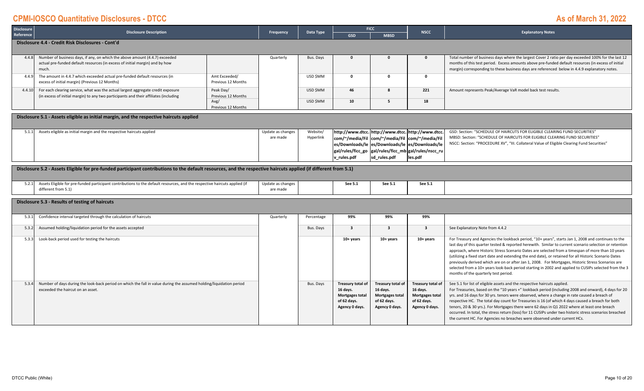| <b>Disclosure</b>                                       | <b>Disclosure Description</b>                                                                                                                                             |                                     | Frequency                     | Data Type  |                                                                                          | <b>FICC</b>                                                                              | <b>NSCC</b>                                                                                                                                                                                                                                                                                                                                                                                                                                                                                                                                                                                                                                                                          | <b>Explanatory Notes</b>                                                                                                                                                                                                                                                                                                                                                                                                                                                                                                                                                                         |  |  |
|---------------------------------------------------------|---------------------------------------------------------------------------------------------------------------------------------------------------------------------------|-------------------------------------|-------------------------------|------------|------------------------------------------------------------------------------------------|------------------------------------------------------------------------------------------|--------------------------------------------------------------------------------------------------------------------------------------------------------------------------------------------------------------------------------------------------------------------------------------------------------------------------------------------------------------------------------------------------------------------------------------------------------------------------------------------------------------------------------------------------------------------------------------------------------------------------------------------------------------------------------------|--------------------------------------------------------------------------------------------------------------------------------------------------------------------------------------------------------------------------------------------------------------------------------------------------------------------------------------------------------------------------------------------------------------------------------------------------------------------------------------------------------------------------------------------------------------------------------------------------|--|--|
| Reference                                               |                                                                                                                                                                           |                                     |                               |            | <b>GSD</b>                                                                               | <b>MBSD</b>                                                                              |                                                                                                                                                                                                                                                                                                                                                                                                                                                                                                                                                                                                                                                                                      |                                                                                                                                                                                                                                                                                                                                                                                                                                                                                                                                                                                                  |  |  |
|                                                         | Disclosure 4.4 - Credit Risk Disclosures - Cont'd                                                                                                                         |                                     |                               |            |                                                                                          |                                                                                          |                                                                                                                                                                                                                                                                                                                                                                                                                                                                                                                                                                                                                                                                                      |                                                                                                                                                                                                                                                                                                                                                                                                                                                                                                                                                                                                  |  |  |
| 4.4.8                                                   | Number of business days, if any, on which the above amount (4.4.7) exceeded<br>actual pre-funded default resources (in excess of initial margin) and by how<br>much.      |                                     | Quarterly                     | Bus. Days  | $\mathbf{0}$                                                                             | $\mathbf{0}$                                                                             | $\mathbf{0}$                                                                                                                                                                                                                                                                                                                                                                                                                                                                                                                                                                                                                                                                         | Total number of business days where the largest Cover 2 ratio per day exceeded 100% for the last 12<br>months of this test period. Excess amounts above pre-funded default resources (in excess of initial<br>margin) corresponding to these business days are referenced below in 4.4.9 explanatory notes.                                                                                                                                                                                                                                                                                      |  |  |
| 4.4.9                                                   | The amount in 4.4.7 which exceeded actual pre-funded default resources (in<br>excess of initial margin) (Previous 12 Months)                                              | Amt Exceeded/<br>Previous 12 Months |                               | USD \$MM   | $\Omega$                                                                                 | $\Omega$                                                                                 | $\Omega$                                                                                                                                                                                                                                                                                                                                                                                                                                                                                                                                                                                                                                                                             |                                                                                                                                                                                                                                                                                                                                                                                                                                                                                                                                                                                                  |  |  |
| 4.4.10                                                  | For each clearing service, what was the actual largest aggregate credit exposure<br>(in excess of initial margin) to any two participants and their affiliates (including | Peak Day/<br>Previous 12 Months     |                               | USD \$MM   | 46                                                                                       | $\mathbf{R}$                                                                             | 221                                                                                                                                                                                                                                                                                                                                                                                                                                                                                                                                                                                                                                                                                  | Amount represents Peak/Average VaR model back test results.                                                                                                                                                                                                                                                                                                                                                                                                                                                                                                                                      |  |  |
|                                                         |                                                                                                                                                                           | Avg/<br>Previous 12 Months          |                               | USD \$MM   | 10                                                                                       | -5                                                                                       | 18                                                                                                                                                                                                                                                                                                                                                                                                                                                                                                                                                                                                                                                                                   |                                                                                                                                                                                                                                                                                                                                                                                                                                                                                                                                                                                                  |  |  |
|                                                         | Disclosure 5.1 - Assets eligible as initial margin, and the respective haircuts applied                                                                                   |                                     |                               |            |                                                                                          |                                                                                          |                                                                                                                                                                                                                                                                                                                                                                                                                                                                                                                                                                                                                                                                                      |                                                                                                                                                                                                                                                                                                                                                                                                                                                                                                                                                                                                  |  |  |
|                                                         | 5.1.1 Assets eligible as initial margin and the respective haircuts applied                                                                                               |                                     | Update as changes             | Website/   |                                                                                          | http://www.dtcc. http://www.dtcc. http://www.dtcc.                                       |                                                                                                                                                                                                                                                                                                                                                                                                                                                                                                                                                                                                                                                                                      | GSD: Section: "SCHEDULE OF HAIRCUTS FOR ELIGIBLE CLEARING FUND SECURITIES"                                                                                                                                                                                                                                                                                                                                                                                                                                                                                                                       |  |  |
|                                                         |                                                                                                                                                                           |                                     | are made                      | Hyperlink  | com/~/media/Fil                                                                          | com/~/media/Fil com/~/media/Fil                                                          |                                                                                                                                                                                                                                                                                                                                                                                                                                                                                                                                                                                                                                                                                      | MBSD: Section: "SCHEDULE OF HAIRCUTS FOR ELIGIBLE CLEARING FUND SECURITIES"<br>NSCC: Section: "PROCEDURE XV", "III. Collateral Value of Eligible Clearing Fund Securities"                                                                                                                                                                                                                                                                                                                                                                                                                       |  |  |
|                                                         |                                                                                                                                                                           |                                     |                               |            | gal/rules/ficc_go  gal/rules/ficc_mb  gal/rules/nscc_ru                                  | es/Downloads/le es/Downloads/le es/Downloads/le                                          |                                                                                                                                                                                                                                                                                                                                                                                                                                                                                                                                                                                                                                                                                      |                                                                                                                                                                                                                                                                                                                                                                                                                                                                                                                                                                                                  |  |  |
|                                                         |                                                                                                                                                                           |                                     |                               |            | v_rules.pdf                                                                              | sd_rules.pdf                                                                             | les.pdf                                                                                                                                                                                                                                                                                                                                                                                                                                                                                                                                                                                                                                                                              |                                                                                                                                                                                                                                                                                                                                                                                                                                                                                                                                                                                                  |  |  |
|                                                         |                                                                                                                                                                           |                                     |                               |            |                                                                                          |                                                                                          |                                                                                                                                                                                                                                                                                                                                                                                                                                                                                                                                                                                                                                                                                      |                                                                                                                                                                                                                                                                                                                                                                                                                                                                                                                                                                                                  |  |  |
|                                                         | Disclosure 5.2 - Assets Eligible for pre-funded participant contributions to the default resources, and the respective haircuts applied (if different from 5.1)           |                                     |                               |            |                                                                                          |                                                                                          |                                                                                                                                                                                                                                                                                                                                                                                                                                                                                                                                                                                                                                                                                      |                                                                                                                                                                                                                                                                                                                                                                                                                                                                                                                                                                                                  |  |  |
| 5.2.1                                                   | Assets Eligible for pre-funded participant contributions to the default resources, and the respective haircuts applied (if<br>different from 5.1)                         |                                     | Update as changes<br>are made |            | See 5.1                                                                                  | See 5.1                                                                                  | See 5.1                                                                                                                                                                                                                                                                                                                                                                                                                                                                                                                                                                                                                                                                              |                                                                                                                                                                                                                                                                                                                                                                                                                                                                                                                                                                                                  |  |  |
|                                                         | Disclosure 5.3 - Results of testing of haircuts                                                                                                                           |                                     |                               |            |                                                                                          |                                                                                          |                                                                                                                                                                                                                                                                                                                                                                                                                                                                                                                                                                                                                                                                                      |                                                                                                                                                                                                                                                                                                                                                                                                                                                                                                                                                                                                  |  |  |
| 5.3.1                                                   | Confidence interval targeted through the calculation of haircuts                                                                                                          |                                     | Quarterly                     | Percentage | 99%                                                                                      | 99%                                                                                      | 99%                                                                                                                                                                                                                                                                                                                                                                                                                                                                                                                                                                                                                                                                                  |                                                                                                                                                                                                                                                                                                                                                                                                                                                                                                                                                                                                  |  |  |
| 5.3.2                                                   | Assumed holding/liquidation period for the assets accepted                                                                                                                |                                     |                               | Bus. Days  | $\overline{\mathbf{3}}$                                                                  | $\mathbf{3}$                                                                             | $\mathbf{3}$                                                                                                                                                                                                                                                                                                                                                                                                                                                                                                                                                                                                                                                                         | See Explanatory Note from 4.4.2                                                                                                                                                                                                                                                                                                                                                                                                                                                                                                                                                                  |  |  |
| 5.3.3<br>Look-back period used for testing the haircuts |                                                                                                                                                                           |                                     |                               | 10+ years  | $10+$ years                                                                              | $10+$ years                                                                              | For Treasury and Agencies the lookback period, "10+ years", starts Jan 1, 2008 and continues to the<br>last day of this quarter tested & reported herewith. Similar to current scenario selection or retention<br>approach, where Historic Stress Scenario Dates are selected from a timespan of more than 10 years<br>(utilizing a fixed start date and extending the end date), or retained for all Historic Scenario Dates<br>previously derived which are on or after Jan 1, 2008. For Mortgages, Historic Stress Scenarios are<br>selected from a 10+ years look-back period starting in 2002 and applied to CUSIPs selected from the 3<br>months of the quarterly test period. |                                                                                                                                                                                                                                                                                                                                                                                                                                                                                                                                                                                                  |  |  |
| 5.3.4                                                   | Number of days during the look-back period on which the fall in value during the assumed holding/liquidation period<br>exceeded the haircut on an asset.                  |                                     |                               | Bus. Days  | <b>Treasury total of</b><br>16 days.<br>Mortgages total<br>of 62 days.<br>Agency 0 days. | Treasury total of<br>16 days.<br><b>Mortgages total</b><br>of 62 days.<br>Agency 0 days. | Treasury total of<br>16 days.<br>Mortgages total<br>of 62 days.<br>Agency 0 days.                                                                                                                                                                                                                                                                                                                                                                                                                                                                                                                                                                                                    | See 5.1 for list of eligible assets and the respective haircuts applied.<br>For Treasuries, based on the "10 years +" lookback period (including 2008 and onward), 4 days for 20<br>yrs. and 16 days for 30 yrs. tenors were observed, where a change in rate caused a breach of<br>respective HC. The total day count for Treasuries is 16 (of which 4 days caused a breach for both<br>tenors, 20 & 30 yrs.). For Mortgages there were 62 days in Q1 2022 where at least one breach<br>occurred. In total, the stress return (loss) for 11 CUSIPs under two historic stress scenarios breached |  |  |

the current HC. For Agencies no breaches were observed under current HCs.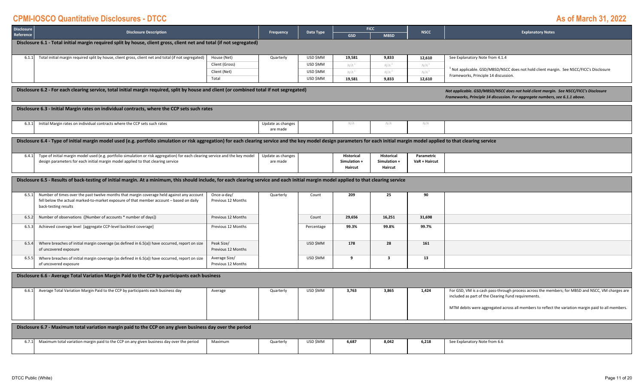| <b>Disclosure</b> | <b>Disclosure Description</b>                                                                                                                                                                                                                                                                                       |                                     | Frequency                     | Data Type  | <b>FICC</b>             | <b>NSCC</b>             | <b>Explanatory Notes</b> |                                                                                                                                                         |  |  |  |  |
|-------------------|---------------------------------------------------------------------------------------------------------------------------------------------------------------------------------------------------------------------------------------------------------------------------------------------------------------------|-------------------------------------|-------------------------------|------------|-------------------------|-------------------------|--------------------------|---------------------------------------------------------------------------------------------------------------------------------------------------------|--|--|--|--|
| Reference         |                                                                                                                                                                                                                                                                                                                     |                                     |                               |            | <b>GSD</b>              | <b>MBSD</b>             |                          |                                                                                                                                                         |  |  |  |  |
|                   | Disclosure 6.1 - Total initial margin required split by house, client gross, client net and total (if not segregated)                                                                                                                                                                                               |                                     |                               |            |                         |                         |                          |                                                                                                                                                         |  |  |  |  |
| 6.1.1             | Total initial margin required split by house, client gross, client net and total (if not segregated)                                                                                                                                                                                                                | House (Net)                         | Quarterly                     | USD \$MM   | 19,581                  | 9,833                   | 12,610                   | See Explanatory Note from 4.1.4                                                                                                                         |  |  |  |  |
|                   |                                                                                                                                                                                                                                                                                                                     | Client (Gross)                      |                               | USD \$MM   | N/A <sup>1</sup>        | $N/A$ <sup>1</sup>      | N/A <sup>1</sup>         |                                                                                                                                                         |  |  |  |  |
|                   |                                                                                                                                                                                                                                                                                                                     | Client (Net)                        |                               | USD \$MM   | N/A <sup>1</sup>        | $N/A$ <sup>1</sup>      | N/A <sup>1</sup>         | Not applicable. GSD/MBSD/NSCC does not hold client margin. See NSCC/FICC's Disclosure<br>Frameworks, Principle 14 discussion.                           |  |  |  |  |
|                   |                                                                                                                                                                                                                                                                                                                     | Total                               |                               | USD \$MM   | 19,581                  | 9,833                   | 12,610                   |                                                                                                                                                         |  |  |  |  |
|                   | Disclosure 6.2 - For each clearing service, total initial margin required, split by house and client (or combined total if not segregated)<br>Not applicable. GSD/MBSD/NSCC does not hold client margin. See NSCC/FICC's Disclosure<br>Frameworks, Principle 14 discussion. For aggregate numbers, see 6.1.1 above. |                                     |                               |            |                         |                         |                          |                                                                                                                                                         |  |  |  |  |
|                   | Disclosure 6.3 - Initial Margin rates on individual contracts, where the CCP sets such rates                                                                                                                                                                                                                        |                                     |                               |            |                         |                         |                          |                                                                                                                                                         |  |  |  |  |
| 6.3.1             | Initial Margin rates on individual contracts where the CCP sets such rates                                                                                                                                                                                                                                          |                                     | Update as changes<br>are made |            | N/A                     | N/A                     | N/A                      |                                                                                                                                                         |  |  |  |  |
|                   | Disclosure 6.4 - Type of initial margin model used (e.g. portfolio simulation or risk aggregation) for each clearing service and the key model design parameters for each initial margin model applied to that clearing servic                                                                                      |                                     |                               |            |                         |                         |                          |                                                                                                                                                         |  |  |  |  |
| 6.4.1             | Type of initial margin model used (e.g. portfolio simulation or risk aggregation) for each clearing service and the key model                                                                                                                                                                                       |                                     | Update as changes             |            | Historical              | Historical              | Parametric               |                                                                                                                                                         |  |  |  |  |
|                   | design parameters for each initial margin model applied to that clearing service                                                                                                                                                                                                                                    |                                     | are made                      |            | Simulation +<br>Haircut | Simulation +<br>Haircut | VaR + Haircut            |                                                                                                                                                         |  |  |  |  |
|                   |                                                                                                                                                                                                                                                                                                                     |                                     |                               |            |                         |                         |                          |                                                                                                                                                         |  |  |  |  |
|                   | Disclosure 6.5 - Results of back-testing of initial margin. At a minimum, this should include, for each clearing service and each initial margin model applied to that clearing service                                                                                                                             |                                     |                               |            |                         |                         |                          |                                                                                                                                                         |  |  |  |  |
| 6.5.1             | Number of times over the past twelve months that margin coverage held against any account<br>fell below the actual marked-to-market exposure of that member account - based on daily<br>back-testing results                                                                                                        | Once-a-day/<br>Previous 12 Months   | Quarterly                     | Count      | 209                     | 25                      | 90                       |                                                                                                                                                         |  |  |  |  |
| 6.5.2             | Number of observations ([Number of accounts * number of days])                                                                                                                                                                                                                                                      | Previous 12 Months                  |                               | Count      | 29,656                  | 16,251                  | 31,698                   |                                                                                                                                                         |  |  |  |  |
| 6.5.              | Achieved coverage level [aggregate CCP-level backtest coverage]                                                                                                                                                                                                                                                     | Previous 12 Months                  |                               | Percentage | 99.3%                   | 99.8%                   | 99.7%                    |                                                                                                                                                         |  |  |  |  |
| 6.5.4             | Where breaches of initial margin coverage (as defined in 6.5(a)) have occurred, report on size<br>of uncovered exposure                                                                                                                                                                                             | Peak Size/<br>Previous 12 Months    |                               | USD \$MM   | 178                     | 28                      | 161                      |                                                                                                                                                         |  |  |  |  |
| 6.5.              | Where breaches of initial margin coverage (as defined in 6.5(a)) have occurred, report on size<br>of uncovered exposure                                                                                                                                                                                             | Average Size/<br>Previous 12 Months |                               | USD \$MM   | 9                       | $\overline{\mathbf{3}}$ | 13                       |                                                                                                                                                         |  |  |  |  |
|                   | Disclosure 6.6 - Average Total Variation Margin Paid to the CCP by participants each business                                                                                                                                                                                                                       |                                     |                               |            |                         |                         |                          |                                                                                                                                                         |  |  |  |  |
| 6.6.1             | Average Total Variation Margin Paid to the CCP by participants each business day                                                                                                                                                                                                                                    | Average                             | Quarterly                     | USD \$MM   | 3,763                   | 3,865                   | 1,424                    | For GSD, VM is a cash pass-through process across the members; for MBSD and NSCC, VM charges are<br>included as part of the Clearing Fund requirements. |  |  |  |  |
|                   |                                                                                                                                                                                                                                                                                                                     |                                     |                               |            |                         |                         |                          | MTM debits were aggregated across all members to reflect the variation margin paid to all members.                                                      |  |  |  |  |
|                   | Disclosure 6.7 - Maximum total variation margin paid to the CCP on any given business day over the period                                                                                                                                                                                                           |                                     |                               |            |                         |                         |                          |                                                                                                                                                         |  |  |  |  |
|                   | Maximum total variation margin paid to the CCP on any given business day over the period                                                                                                                                                                                                                            | Maximum                             | Quarterly                     | USD SMM    | 6,687                   | 8,042                   | 6,218                    | See Explanatory Note from 6.6                                                                                                                           |  |  |  |  |
| 6.7.1             |                                                                                                                                                                                                                                                                                                                     |                                     |                               |            |                         |                         |                          |                                                                                                                                                         |  |  |  |  |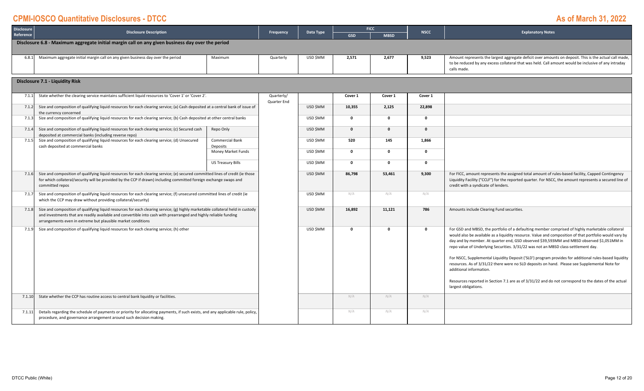| <b>Disclosure</b> | <b>Disclosure Description</b>                                                                                                                                                                                                                                                                                        |                             | Frequency                 | Data Type | <b>FICC</b>  |             | <b>NSCC</b>  | <b>Explanatory Notes</b>                                                                                                                                                                                                                                                                                                                                                                                                                                                                                                                                                                                                            |
|-------------------|----------------------------------------------------------------------------------------------------------------------------------------------------------------------------------------------------------------------------------------------------------------------------------------------------------------------|-----------------------------|---------------------------|-----------|--------------|-------------|--------------|-------------------------------------------------------------------------------------------------------------------------------------------------------------------------------------------------------------------------------------------------------------------------------------------------------------------------------------------------------------------------------------------------------------------------------------------------------------------------------------------------------------------------------------------------------------------------------------------------------------------------------------|
| Reference         |                                                                                                                                                                                                                                                                                                                      |                             |                           |           | <b>GSD</b>   | <b>MBSD</b> |              |                                                                                                                                                                                                                                                                                                                                                                                                                                                                                                                                                                                                                                     |
|                   | Disclosure 6.8 - Maximum aggregate initial margin call on any given business day over the period                                                                                                                                                                                                                     |                             |                           |           |              |             |              |                                                                                                                                                                                                                                                                                                                                                                                                                                                                                                                                                                                                                                     |
| 6.8.1             | Maximum aggregate initial margin call on any given business day over the period                                                                                                                                                                                                                                      | Maximum                     | Quarterly                 | USD \$MM  | 2.571        | 2.677       | 9,523        | Amount represents the largest aggregate deficit over amounts on deposit. This is the actual call made,<br>to be reduced by any excess collateral that was held. Call amount would be inclusive of any intraday<br>calls made.                                                                                                                                                                                                                                                                                                                                                                                                       |
|                   | <b>Disclosure 7.1 - Liquidity Risk</b>                                                                                                                                                                                                                                                                               |                             |                           |           |              |             |              |                                                                                                                                                                                                                                                                                                                                                                                                                                                                                                                                                                                                                                     |
|                   |                                                                                                                                                                                                                                                                                                                      |                             |                           |           |              |             |              |                                                                                                                                                                                                                                                                                                                                                                                                                                                                                                                                                                                                                                     |
| 7.1.1             | State whether the clearing service maintains sufficient liquid resources to 'Cover 1' or 'Cover 2'.                                                                                                                                                                                                                  |                             | Quarterly/<br>Quarter End |           | Cover 1      | Cover 1     | Cover 1      |                                                                                                                                                                                                                                                                                                                                                                                                                                                                                                                                                                                                                                     |
| 7.1.2             | Size and composition of qualifying liquid resources for each clearing service; (a) Cash deposited at a central bank of issue of<br>the currency concerned                                                                                                                                                            |                             |                           | USD \$MM  | 10,355       | 2,125       | 22,898       |                                                                                                                                                                                                                                                                                                                                                                                                                                                                                                                                                                                                                                     |
| 7.1.3             | Size and composition of qualifying liquid resources for each clearing service; (b) Cash deposited at other central banks                                                                                                                                                                                             |                             |                           | USD \$MM  | $\mathbf 0$  | $\Omega$    | $\mathbf{o}$ |                                                                                                                                                                                                                                                                                                                                                                                                                                                                                                                                                                                                                                     |
| 7.1.4             | Size and composition of qualifying liquid resources for each clearing service; (c) Secured cash<br>deposited at commercial banks (including reverse repo)                                                                                                                                                            | Repo Only                   |                           | USD \$MM  | $\mathbf{o}$ | $\Omega$    | $\Omega$     |                                                                                                                                                                                                                                                                                                                                                                                                                                                                                                                                                                                                                                     |
| 7.1.5             | Size and composition of qualifying liquid resources for each clearing service; (d) Unsecured<br>cash deposited at commercial banks                                                                                                                                                                                   | Commercial Bank<br>Deposits |                           | USD \$MM  | 520          | 145         | 1,866        |                                                                                                                                                                                                                                                                                                                                                                                                                                                                                                                                                                                                                                     |
|                   |                                                                                                                                                                                                                                                                                                                      | Money Market Funds          |                           | USD \$MM  | $\mathbf 0$  | $\Omega$    | 0            |                                                                                                                                                                                                                                                                                                                                                                                                                                                                                                                                                                                                                                     |
|                   |                                                                                                                                                                                                                                                                                                                      | US Treasury Bills           |                           | USD \$MM  | $\mathbf{0}$ | $\Omega$    | $\mathbf{0}$ |                                                                                                                                                                                                                                                                                                                                                                                                                                                                                                                                                                                                                                     |
|                   | Size and composition of qualifying liquid resources for each clearing service; (e) secured committed lines of credit (ie those<br>7.1.6<br>for which collateral/security will be provided by the CCP if drawn) including committed foreign exchange swaps and<br>committed repos                                     |                             |                           | USD \$MM  | 86.798       | 53,461      | 9,300        | For FICC, amount represents the assigned total amount of rules-based facility, Capped Contingency<br>Liquidity Facility ("CCLF") for the reported quarter. For NSCC, the amount represents a secured line of<br>credit with a syndicate of lenders.                                                                                                                                                                                                                                                                                                                                                                                 |
| 7.1.7             | Size and composition of qualifying liquid resources for each clearing service; (f) unsecured committed lines of credit (ie<br>which the CCP may draw without providing collateral/security)                                                                                                                          |                             |                           | USD \$MM  | N/A          | N/A         | N/A          |                                                                                                                                                                                                                                                                                                                                                                                                                                                                                                                                                                                                                                     |
| 7.1.8             | Size and composition of qualifying liquid resources for each clearing service; (g) highly marketable collateral held in custody<br>and investments that are readily available and convertible into cash with prearranged and highly reliable funding<br>arrangements even in extreme but plausible market conditions |                             |                           | USD \$MM  | 16,892       | 11,121      | 786          | Amounts include Clearing Fund securities.                                                                                                                                                                                                                                                                                                                                                                                                                                                                                                                                                                                           |
| 7.1.9             | Size and composition of qualifying liquid resources for each clearing service; (h) other                                                                                                                                                                                                                             |                             |                           | USD \$MM  | $\mathbf{0}$ | $\Omega$    | $\mathbf{o}$ | For GSD and MBSD, the portfolio of a defaulting member comprised of highly marketable collateral<br>would also be available as a liquidity resource. Value and composition of that portfolio would vary by<br>day and by member. At quarter end, GSD observed \$39,593MM and MBSD observed \$1,051MM in<br>repo value of Underlying Securities. 3/31/22 was not an MBSD class-settlement day.<br>For NSCC, Supplemental Liquidity Deposit ('SLD') program provides for additional rules-based liquidity<br>resources. As of 3/31/22 there were no SLD deposits on hand. Please see Supplemental Note for<br>additional information. |
|                   |                                                                                                                                                                                                                                                                                                                      |                             |                           |           |              |             |              | Resources reported in Section 7.1 are as of 3/31/22 and do not correspond to the dates of the actual<br>largest obligations.                                                                                                                                                                                                                                                                                                                                                                                                                                                                                                        |
| 7.1.10            | State whether the CCP has routine access to central bank liquidity or facilities.                                                                                                                                                                                                                                    |                             |                           |           | N/A          | N/A         | N/A          |                                                                                                                                                                                                                                                                                                                                                                                                                                                                                                                                                                                                                                     |
| 7.1.11            | Details regarding the schedule of payments or priority for allocating payments, if such exists, and any applicable rule, policy,<br>procedure, and governance arrangement around such decision making.                                                                                                               |                             |                           |           | N/A          | N/A         | N/A          |                                                                                                                                                                                                                                                                                                                                                                                                                                                                                                                                                                                                                                     |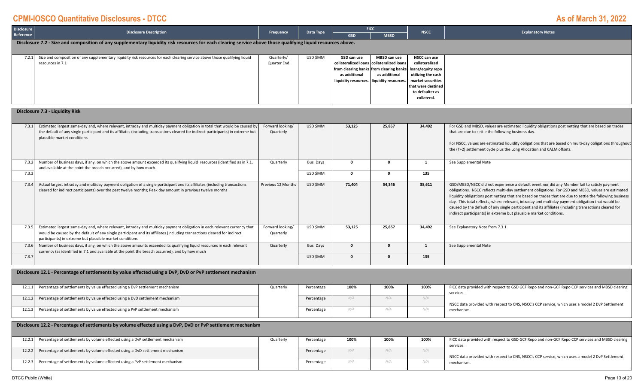| <b>Disclosure</b><br>Reference | <b>Disclosure Description</b>                                                                                                                                                                                                                                                                                   | Frequency                     | Data Type  | <b>GSD</b>                                           | <b>FICC</b><br><b>MBSD</b>                                                                                                                      | <b>NSCC</b>                                                                                                                                            | <b>Explanatory Notes</b>                                                                                                                                                                                                                                                                                                                                                                                                                                                                                                                                                                            |  |  |  |
|--------------------------------|-----------------------------------------------------------------------------------------------------------------------------------------------------------------------------------------------------------------------------------------------------------------------------------------------------------------|-------------------------------|------------|------------------------------------------------------|-------------------------------------------------------------------------------------------------------------------------------------------------|--------------------------------------------------------------------------------------------------------------------------------------------------------|-----------------------------------------------------------------------------------------------------------------------------------------------------------------------------------------------------------------------------------------------------------------------------------------------------------------------------------------------------------------------------------------------------------------------------------------------------------------------------------------------------------------------------------------------------------------------------------------------------|--|--|--|
|                                | Disclosure 7.2 - Size and composition of any supplementary liquidity risk resources for each clearing service above those qualifying liquid resources above.                                                                                                                                                    |                               |            |                                                      |                                                                                                                                                 |                                                                                                                                                        |                                                                                                                                                                                                                                                                                                                                                                                                                                                                                                                                                                                                     |  |  |  |
| 7.2.1                          | Size and composition of any supplementary liquidity risk resources for each clearing service above those qualifying liquid<br>resources in 7.1                                                                                                                                                                  | Quarterly/<br>Quarter End     | USD \$MM   | GSD can use<br>collateralized loans<br>as additional | MBSD can use<br>collateralized loans<br>from clearing banks from clearing banks<br>as additional<br>liquidity resources.   liquidity resources. | NSCC can use<br>collateralized<br>loans/equity repo<br>utilizing the cash<br>market securities<br>that were destined<br>to defaulter as<br>collateral. |                                                                                                                                                                                                                                                                                                                                                                                                                                                                                                                                                                                                     |  |  |  |
|                                | <b>Disclosure 7.3 - Liquidity Risk</b>                                                                                                                                                                                                                                                                          |                               |            |                                                      |                                                                                                                                                 |                                                                                                                                                        |                                                                                                                                                                                                                                                                                                                                                                                                                                                                                                                                                                                                     |  |  |  |
| 7.3.1                          | Estimated largest same-day and, where relevant, intraday and multiday payment obligation in total that would be caused by<br>the default of any single participant and its affiliates (including transactions cleared for indirect participants) in extreme but<br>plausible market conditions                  | Forward looking/<br>Quarterly | USD \$MM   | 53,125                                               | 25,857                                                                                                                                          | 34,492                                                                                                                                                 | For GSD and MBSD, values are estimated liquidity obligations post netting that are based on trades<br>that are due to settle the following business day.<br>For NSCC, values are estimated liquidity obligations that are based on multi-day obligations throughout<br>the (T+2) settlement cycle plus the Long Allocation and CALM offsets.                                                                                                                                                                                                                                                        |  |  |  |
| 7.3.2                          | Number of business days, if any, on which the above amount exceeded its qualifying liquid resources (identified as in 7.1,<br>and available at the point the breach occurred), and by how much.                                                                                                                 | Quarterly                     | Bus. Days  | $\mathbf 0$                                          | $\mathbf 0$                                                                                                                                     | 1                                                                                                                                                      | See Supplemental Note                                                                                                                                                                                                                                                                                                                                                                                                                                                                                                                                                                               |  |  |  |
| 7.3.3                          |                                                                                                                                                                                                                                                                                                                 |                               | USD \$MM   | $\mathbf 0$                                          | $\mathbf{0}$                                                                                                                                    | 135                                                                                                                                                    |                                                                                                                                                                                                                                                                                                                                                                                                                                                                                                                                                                                                     |  |  |  |
| 7.3.4                          | Actual largest intraday and multiday payment obligation of a single participant and its affiliates (including transactions<br>cleared for indirect participants) over the past twelve months; Peak day amount in previous twelve months                                                                         | Previous 12 Months            | USD \$MM   | 71,404                                               | 54,346                                                                                                                                          | 38,611                                                                                                                                                 | GSD/MBSD/NSCC did not experience a default event nor did any Member fail to satisfy payment<br>obligations. NSCC reflects multi-day settlement obligations. For GSD and MBSD, values are estimated<br>liquidity obligations post netting that are based on trades that are due to settle the following business<br>day. This total reflects, where relevant, intraday and multiday payment obligation that would be<br>caused by the default of any single participant and its affiliates (including transactions cleared for<br>indirect participants) in extreme but plausible market conditions. |  |  |  |
| 7.3.5                          | Estimated largest same-day and, where relevant, intraday and multiday payment obligation in each relevant currency that<br>would be caused by the default of any single participant and its affiliates (including transactions cleared for indirect<br>participants) in extreme but plausible market conditions | Forward looking/<br>Quarterly | USD \$MM   | 53,125                                               | 25,857                                                                                                                                          | 34,492                                                                                                                                                 | See Explanatory Note from 7.3.1                                                                                                                                                                                                                                                                                                                                                                                                                                                                                                                                                                     |  |  |  |
| 7.3.6                          | Number of business days, if any, on which the above amounts exceeded its qualifying liquid resources in each relevant<br>currency (as identified in 7.1 and available at the point the breach occurred), and by how much                                                                                        | Quarterly                     | Bus. Days  | $\mathbf 0$                                          | $\mathbf{0}$                                                                                                                                    | $\mathbf{1}$                                                                                                                                           | See Supplemental Note                                                                                                                                                                                                                                                                                                                                                                                                                                                                                                                                                                               |  |  |  |
| 7.3.7                          |                                                                                                                                                                                                                                                                                                                 |                               | USD \$MM   | $\mathbf{0}$                                         | $\mathbf 0$                                                                                                                                     | 135                                                                                                                                                    |                                                                                                                                                                                                                                                                                                                                                                                                                                                                                                                                                                                                     |  |  |  |
|                                | Disclosure 12.1 - Percentage of settlements by value effected using a DvP, DvD or PvP settlement mechanism                                                                                                                                                                                                      |                               |            |                                                      |                                                                                                                                                 |                                                                                                                                                        |                                                                                                                                                                                                                                                                                                                                                                                                                                                                                                                                                                                                     |  |  |  |
| 12.1.1                         | Percentage of settlements by value effected using a DvP settlement mechanism                                                                                                                                                                                                                                    | Quarterly                     | Percentage | 100%                                                 | 100%                                                                                                                                            | 100%                                                                                                                                                   | FICC data provided with respect to GSD GCF Repo and non-GCF Repo CCP services and MBSD clearing<br>services.                                                                                                                                                                                                                                                                                                                                                                                                                                                                                        |  |  |  |
| 12.1.2                         | Percentage of settlements by value effected using a DvD settlement mechanism                                                                                                                                                                                                                                    |                               | Percentage | N/A                                                  | N/A                                                                                                                                             | N/A                                                                                                                                                    | NSCC data provided with respect to CNS, NSCC's CCP service, which uses a model 2 DvP Settlement                                                                                                                                                                                                                                                                                                                                                                                                                                                                                                     |  |  |  |
| 12.1.3                         | Percentage of settlements by value effected using a PvP settlement mechanism                                                                                                                                                                                                                                    |                               | Percentage | N/A                                                  | N/A                                                                                                                                             | N/A                                                                                                                                                    | mechanism.                                                                                                                                                                                                                                                                                                                                                                                                                                                                                                                                                                                          |  |  |  |
|                                | Disclosure 12.2 - Percentage of settlements by volume effected using a DvP, DvD or PvP settlement mechanism                                                                                                                                                                                                     |                               |            |                                                      |                                                                                                                                                 |                                                                                                                                                        |                                                                                                                                                                                                                                                                                                                                                                                                                                                                                                                                                                                                     |  |  |  |
| 12.2.1                         | Percentage of settlements by volume effected using a DvP settlement mechanism                                                                                                                                                                                                                                   | Quarterly                     | Percentage | 100%                                                 | 100%                                                                                                                                            | 100%                                                                                                                                                   | FICC data provided with respect to GSD GCF Repo and non-GCF Repo CCP services and MBSD clearing<br>services.                                                                                                                                                                                                                                                                                                                                                                                                                                                                                        |  |  |  |
| 12.2.2                         | Percentage of settlements by volume effected using a DvD settlement mechanism                                                                                                                                                                                                                                   |                               | Percentage | N/A                                                  | N/A                                                                                                                                             | N/A                                                                                                                                                    | NSCC data provided with respect to CNS, NSCC's CCP service, which uses a model 2 DvP Settlement                                                                                                                                                                                                                                                                                                                                                                                                                                                                                                     |  |  |  |
| 12.2.3                         | Percentage of settlements by volume effected using a PvP settlement mechanism                                                                                                                                                                                                                                   |                               | Percentage | N/A                                                  | N/A                                                                                                                                             | N/A                                                                                                                                                    | mechanism.                                                                                                                                                                                                                                                                                                                                                                                                                                                                                                                                                                                          |  |  |  |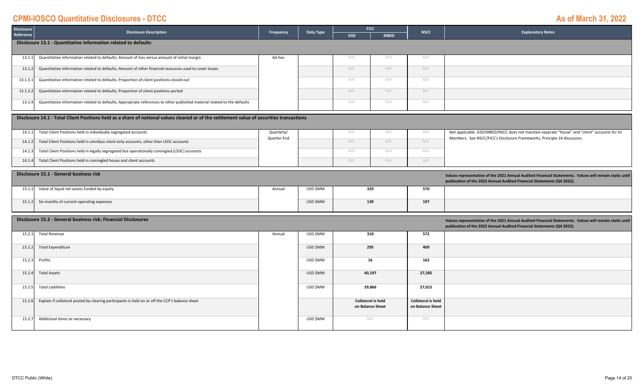#### **GSD MBSD Disclosure Reference Disclosure Description Frequency Data Type FICC NSCC Explanatory Notes** 13.1.11 Quantitative information related to defaults; Amount of loss versus amount of initial margin Ad and Ad–hoc Ad-hoc N/A N/A N/A N/A N/A N/A N/A N/A 13.1.22 **Quantitative information related to defaults; Amount of other financial resources used to cover losses and the state of the state of the resources used to cover losses and the state of the state of the state of the fina** 13.1.3.1 *N/A N/A N/A* Quantitative information related to defaults; Proportion of client positions closed‐out 13.1.3.2 *N/A N/A N/A* Quantitative information related to defaults; Proportion of client positions ported 13.1.44 Quantitative information related to defaults; Appropriate references to other published material related to the defaults<br>
and the defaults of the control of the control of the control of the control of the control of the **Disclosure 13.1 ‐ Quantitative information related to defaults**

|        | Disclosure 14.1 - Total Client Positions held as a share of notional values cleared or of the settlement value of securities transactions |                           |  |     |     |     |                                                                                                                                                                            |  |  |  |
|--------|-------------------------------------------------------------------------------------------------------------------------------------------|---------------------------|--|-----|-----|-----|----------------------------------------------------------------------------------------------------------------------------------------------------------------------------|--|--|--|
|        | 14.1.1 Total Client Positions held in individually segregated accounts                                                                    | Quarterly/<br>Quarter End |  |     |     |     | Not applicable. GSD/MBSD/NSCC does not maintain separate "house" and "client" accounts for its<br>Members. See NSCC/FICC's Disclosure Frameworks, Principle 14 discussion. |  |  |  |
| 14.1.2 | Total Client Positions held in omnibus client-only accounts, other than LSOC accounts                                                     |                           |  | N/A | V/A | N/A |                                                                                                                                                                            |  |  |  |
|        | 14.1.3 Total Client Positions held in legally segregated but operationally comingled (LSOC) accounts                                      |                           |  |     |     |     |                                                                                                                                                                            |  |  |  |
| 14.1.4 | Total Client Positions held in comingled house and client accounts                                                                        |                           |  | N/A |     |     |                                                                                                                                                                            |  |  |  |

| Disclosure 15.1 - General business risk            | Values representative of the 2021 Annual Audited Financial Statements. Values will remain static until<br>publication of the 2022 Annual Audited Financial Statements (Q4 2022). |          |     |     |  |
|----------------------------------------------------|----------------------------------------------------------------------------------------------------------------------------------------------------------------------------------|----------|-----|-----|--|
| 15.1.1 Value of liquid net assets funded by equity | Annual                                                                                                                                                                           | USD \$MM | 329 | 570 |  |
| 15.1.2 Six months of current operating expenses    |                                                                                                                                                                                  | USD \$MM | 139 | 197 |  |

|        | Disclosure 15.2 - General business risk; Financial Disclosures                                  |        | Values representative of the 2021 Annual Audited Financial Statements. Values will remain static until<br>publication of the 2022 Annual Audited Financial Statements (Q4 2022). |                                               |                                               |  |  |  |
|--------|-------------------------------------------------------------------------------------------------|--------|----------------------------------------------------------------------------------------------------------------------------------------------------------------------------------|-----------------------------------------------|-----------------------------------------------|--|--|--|
| 15.2.1 | <b>Total Revenue</b>                                                                            | Annual | USD \$MM                                                                                                                                                                         | 310                                           | 572                                           |  |  |  |
| 15.2.2 | <b>Total Expenditure</b>                                                                        |        | USD \$MM                                                                                                                                                                         | 295                                           | 409                                           |  |  |  |
|        | 15.2.3 Profits                                                                                  |        | USD \$MM                                                                                                                                                                         | 16                                            | 163                                           |  |  |  |
| 15.2.4 | <b>Total Assets</b>                                                                             |        | USD \$MM                                                                                                                                                                         | 40,197                                        | 27,585                                        |  |  |  |
| 15.2.5 | <b>Total Liabilities</b>                                                                        |        | USD \$MM                                                                                                                                                                         | 39,866                                        | 27,015                                        |  |  |  |
| 15.2.6 | Explain if collateral posted by clearing participants is held on or off the CCP's balance sheet |        |                                                                                                                                                                                  | <b>Collateral is held</b><br>on Balance Sheet | <b>Collateral is held</b><br>on Balance Sheet |  |  |  |
| 15.2.7 | Additional items as necessary                                                                   |        | USD \$MM                                                                                                                                                                         | N/A                                           | N/A                                           |  |  |  |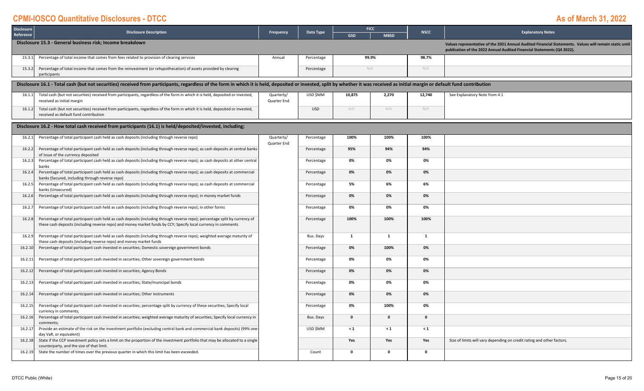| <b>Disclosure</b> | <b>Disclosure Description</b>                                                                                                                                                                                                                  |                           | Data Type  |              | <b>FICC</b>  | <b>NSCC</b>  | <b>Explanatory Notes</b>                                                                                                                                                         |
|-------------------|------------------------------------------------------------------------------------------------------------------------------------------------------------------------------------------------------------------------------------------------|---------------------------|------------|--------------|--------------|--------------|----------------------------------------------------------------------------------------------------------------------------------------------------------------------------------|
| Reference         |                                                                                                                                                                                                                                                | Frequency                 |            | <b>GSD</b>   | <b>MBSD</b>  |              |                                                                                                                                                                                  |
|                   | Disclosure 15.3 - General business risk; Income breakdown                                                                                                                                                                                      |                           |            |              |              |              | Values representative of the 2021 Annual Audited Financial Statements. Values will remain static until<br>publication of the 2022 Annual Audited Financial Statements (Q4 2022). |
| 15.3.1            | Percentage of total income that comes from fees related to provision of clearing services                                                                                                                                                      | Annual                    | Percentage |              | 99.9%        | 98.7%        |                                                                                                                                                                                  |
| 15.3.2            | Percentage of total income that comes from the reinvestment (or rehypothecation) of assets provided by clearing<br>participants                                                                                                                |                           | Percentage |              | N/A          | N/A          |                                                                                                                                                                                  |
|                   | Disclosure 16.1 - Total cash (but not securities) received from participants, regardless of the form in which it is held, deposited or invested, split by whether it was received as initial margin or default fund contributi                 |                           |            |              |              |              |                                                                                                                                                                                  |
| 16.1.1            | Total cash (but not securities) received from participants, regardless of the form in which it is held, deposited or invested,<br>received as initial margin                                                                                   | Quarterly/<br>Quarter End | USD \$MM   | 10,875       | 2,270        | 12,740       | See Explanatory Note from 4.1                                                                                                                                                    |
| 16.1.2            | Total cash (but not securities) received from participants, regardless of the form in which it is held, deposited or invested,<br>received as default fund contribution                                                                        |                           | <b>USD</b> | N/A          | N/A          | N/A          |                                                                                                                                                                                  |
|                   | Disclosure 16.2 - How total cash received from participants (16.1) is held/deposited/invested, including;                                                                                                                                      |                           |            |              |              |              |                                                                                                                                                                                  |
| 16.2.1            | Percentage of total participant cash held as cash deposits (including through reverse repo)                                                                                                                                                    | Quarterly/<br>Quarter End | Percentage | 100%         | 100%         | 100%         |                                                                                                                                                                                  |
| 16.2.2            | Percentage of total participant cash held as cash deposits (including through reverse repo); as cash deposits at central banks<br>of issue of the currency deposited                                                                           |                           | Percentage | 95%          | 94%          | 94%          |                                                                                                                                                                                  |
| 16.2.3            | Percentage of total participant cash held as cash deposits (including through reverse repo); as cash deposits at other central<br>banks                                                                                                        |                           | Percentage | 0%           | 0%           | 0%           |                                                                                                                                                                                  |
| 16.2.4            | Percentage of total participant cash held as cash deposits (including through reverse repo); as cash deposits at commercial<br>banks (Secured, including through reverse repo)                                                                 |                           | Percentage | 0%           | 0%           | 0%           |                                                                                                                                                                                  |
| 16.2.5            | Percentage of total participant cash held as cash deposits (including through reverse repo); as cash deposits at commercial<br>banks (Unsecured)                                                                                               |                           | Percentage | 5%           | 6%           | 6%           |                                                                                                                                                                                  |
| 16.2.6            | Percentage of total participant cash held as cash deposits (including through reverse repo); in money market funds                                                                                                                             |                           | Percentage | 0%           | 0%           | 0%           |                                                                                                                                                                                  |
| 16.2.7            | Percentage of total participant cash held as cash deposits (including through reverse repo); in other forms                                                                                                                                    |                           | Percentage | 0%           | 0%           | 0%           |                                                                                                                                                                                  |
| 16.2.8            | Percentage of total participant cash held as cash deposits (including through reverse repo); percentage split by currency of<br>these cash deposits (including reverse repo) and money market funds by CCY; Specify local currency in comments |                           | Percentage | 100%         | 100%         | 100%         |                                                                                                                                                                                  |
| 16.2.9            | Percentage of total participant cash held as cash deposits (including through reverse repo); weighted average maturity of<br>these cash deposits (including reverse repo) and money market funds                                               |                           | Bus. Days  | 1            | $\mathbf{1}$ | $\mathbf{1}$ |                                                                                                                                                                                  |
| 16.2.10           | Percentage of total participant cash invested in securities; Domestic sovereign government bonds                                                                                                                                               |                           | Percentage | 0%           | 100%         | 0%           |                                                                                                                                                                                  |
| 16.2.11           | Percentage of total participant cash invested in securities; Other sovereign government bonds                                                                                                                                                  |                           | Percentage | 0%           | 0%           | 0%           |                                                                                                                                                                                  |
| 16.2.12           | Percentage of total participant cash invested in securities; Agency Bonds                                                                                                                                                                      |                           | Percentage | 0%           | 0%           | 0%           |                                                                                                                                                                                  |
| 16.2.13           | Percentage of total participant cash invested in securities; State/municipal bonds                                                                                                                                                             |                           | Percentage | 0%           | 0%           | 0%           |                                                                                                                                                                                  |
| 16.2.14           | Percentage of total participant cash invested in securities; Other instruments                                                                                                                                                                 |                           | Percentage | 0%           | 0%           | 0%           |                                                                                                                                                                                  |
| 16.2.15           | Percentage of total participant cash invested in securities; percentage split by currency of these securities; Specify local<br>currency in comments;                                                                                          |                           | Percentage | 0%           | 100%         | 0%           |                                                                                                                                                                                  |
| 16.2.16           | Percentage of total participant cash invested in securities; weighted average maturity of securities; Specify local currency in<br>comments:                                                                                                   |                           | Bus. Days  | $\Omega$     | $\Omega$     | $\Omega$     |                                                                                                                                                                                  |
| 16.2.17           | Provide an estimate of the risk on the investment portfolio (excluding central bank and commercial bank deposits) (99% one<br>day VaR, or equivalent)                                                                                          |                           | USD \$MM   | $\leq 1$     | $\leq 1$     | $\leq 1$     |                                                                                                                                                                                  |
| 16.2.18           | State if the CCP investment policy sets a limit on the proportion of the investment portfolio that may be allocated to a single<br>counterparty, and the size of that limit.                                                                   |                           |            | Yes          | Yes          | Yes          | Size of limits will vary depending on credit rating and other factors.                                                                                                           |
| 16.2.19           | State the number of times over the previous quarter in which this limit has been exceeded.                                                                                                                                                     |                           | Count      | $\mathbf{0}$ | $\Omega$     | $\Omega$     |                                                                                                                                                                                  |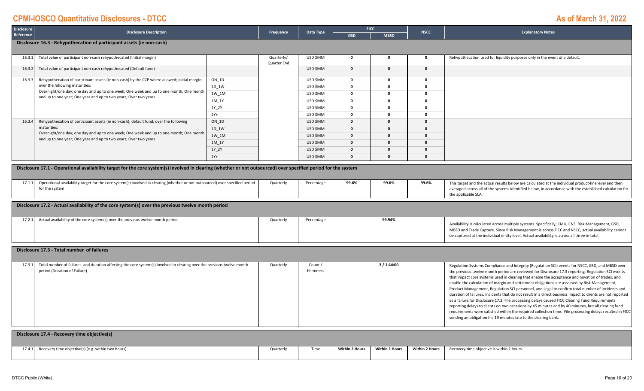| Reference<br><b>GSD</b><br><b>MBSD</b> | <b>Disclosure</b> | Disclosure Description | Frequency | Data Type | <b>FICC</b> | NSCC <sup>1</sup> | <b>Explanatory Notes</b> |
|----------------------------------------|-------------------|------------------------|-----------|-----------|-------------|-------------------|--------------------------|
|                                        |                   |                        |           |           |             |                   |                          |

#### **Disclosure 16.3 ‐ Rehypothecation of participant assets (ie non‐cash)**

| 16.3.1 | Total value of participant non-cash rehypothecated (Initial margin)                                                                                        |         | Quarterly/  | USD \$MM |              |              | Rehypothecation used for liquidity purposes only in the event of a default. |
|--------|------------------------------------------------------------------------------------------------------------------------------------------------------------|---------|-------------|----------|--------------|--------------|-----------------------------------------------------------------------------|
|        |                                                                                                                                                            |         | Quarter End |          |              |              |                                                                             |
| 16.3.2 | Total value of participant non-cash rehypothecated (Default fund)                                                                                          |         |             | USD \$MM | $\Omega$     | $\Omega$     |                                                                             |
|        |                                                                                                                                                            |         |             |          |              |              |                                                                             |
| 16.3.3 | Rehypothecation of participant assets (ie non-cash) by the CCP where allowed; initial margin;                                                              | $ON_1D$ |             | USD \$MM | <sup>0</sup> | $\Omega$     |                                                                             |
|        | over the following maturities:                                                                                                                             | 1D 1W   |             | USD \$MM |              | $\Omega$     |                                                                             |
|        | Overnight/one day; one day and up to one week; One week and up to one month; One month<br>and up to one year; One year and up to two years; Over two years | 1W 1M   |             | USD \$MM |              |              |                                                                             |
|        |                                                                                                                                                            | 1M 1Y   |             | USD \$MM |              | n            |                                                                             |
|        |                                                                                                                                                            | 1Y 2Y   |             | USD \$MM |              |              |                                                                             |
|        |                                                                                                                                                            | $2Y+$   |             | USD \$MM |              |              |                                                                             |
| 16.3.4 | Rehypothecation of participant assets (ie non-cash); default fund; over the following                                                                      | ON 1D   |             | USD \$MM |              | $\Omega$     |                                                                             |
|        | maturities:                                                                                                                                                | 1D_1W   |             | USD \$MM |              | $\Omega$     |                                                                             |
|        | Overnight/one day; one day and up to one week; One week and up to one month; One month<br>and up to one year; One year and up to two years; Over two years | 1W 1M   |             | USD \$MM | n.           | $\mathbf{0}$ |                                                                             |
|        |                                                                                                                                                            | 1M 1Y   |             | USD \$MM |              | $\Omega$     |                                                                             |
|        |                                                                                                                                                            | 1Y 2Y   |             | USD \$MM |              | $\mathbf{0}$ |                                                                             |
|        |                                                                                                                                                            | $2Y+$   |             | USD \$MM |              | n            |                                                                             |

Disclosure 17.1 - Operational availability target for the core system(s) involved in clearing (whether or not outsourced) over specified period for the system

| 1711 | Operational availability target for the core system(s) involved in clearing (whether or not outsourced) over specified period | Quarterly | Percentage | 99.6% | 99.6% | 99.6% | This target and the actual results below are calculated at the individual product-line level and then   |
|------|-------------------------------------------------------------------------------------------------------------------------------|-----------|------------|-------|-------|-------|---------------------------------------------------------------------------------------------------------|
|      | for the system                                                                                                                |           |            |       |       |       | averaged across all of the systems identified below, in accordance with the established calculation for |
|      |                                                                                                                               |           |            |       |       |       | the applicable SLA                                                                                      |

**Disclosure 17.2 ‐ Actual availability of the core system(s) over the previous twelve month period**

| 17.2.2 | Actual availability of the core system(s) over the previous twelve month period | Quarterly | Percentage | 99.94% | Availability is calculated across multiple systems. Specifically, CMU, CNS, Risk Management, GSD, |
|--------|---------------------------------------------------------------------------------|-----------|------------|--------|---------------------------------------------------------------------------------------------------|
|        |                                                                                 |           |            |        | MBSD and Trade Capture. Since Risk Management is across FICC and NSCC, actual availability cannot |
|        |                                                                                 |           |            |        | be captured at the individual entity level. Actual availability is across all three in total.     |

#### **Disclosure 17.3 ‐ Total number of failures**

| 17.3.1 | Total number of failures and duration affecting the core system(s) involved in clearing over the previous twelve month | Quarterly | Count /  | 3 / 1:44:00 | Regulation Systems Compliance and Integrity (Regulation SCI) events for NSCC, GSD, and MBSD over           |
|--------|------------------------------------------------------------------------------------------------------------------------|-----------|----------|-------------|------------------------------------------------------------------------------------------------------------|
|        | period (Duration of Failure)                                                                                           |           | hh:mm:ss |             | the previous twelve month period are reviewed for Disclosure 17.3 reporting. Regulation SCI events         |
|        |                                                                                                                        |           |          |             | that impact core systems used in clearing that enable the acceptance and novation of trades, and           |
|        |                                                                                                                        |           |          |             | enable the calculation of margin and settlement obligations are assessed by Risk Management,               |
|        |                                                                                                                        |           |          |             | Product Management, Regulation SCI personnel, and Legal to confirm total number of incidents and           |
|        |                                                                                                                        |           |          |             | duration of failures. Incidents that do not result in a direct business impact to clients are not reported |
|        |                                                                                                                        |           |          |             | as a failure for Disclosure 17.3. File processing delays caused FICC Clearing Fund Requirements            |
|        |                                                                                                                        |           |          |             | reporting delays to clients on two occasions by 45 minutes and by 40 minutes, but all clearing fund        |
|        |                                                                                                                        |           |          |             | requirements were satisfied within the required collection time. File processing delays resulted in FICC   |
|        |                                                                                                                        |           |          |             | sending an obligation file 19 minutes late to the clearing bank.                                           |
|        |                                                                                                                        |           |          |             |                                                                                                            |

|        | Disclosure 17.4 - Recovery time objective(s)       |           |      |                       |                       |                |                                            |
|--------|----------------------------------------------------|-----------|------|-----------------------|-----------------------|----------------|--------------------------------------------|
| 17.4.1 | Recovery time objective(s) (e.g. within two hours) | Quarterly | Time | <b>Within 2 Hours</b> | <b>Within 2 Hours</b> | Within 2 Hours | Recovery time objective is within 2 hours. |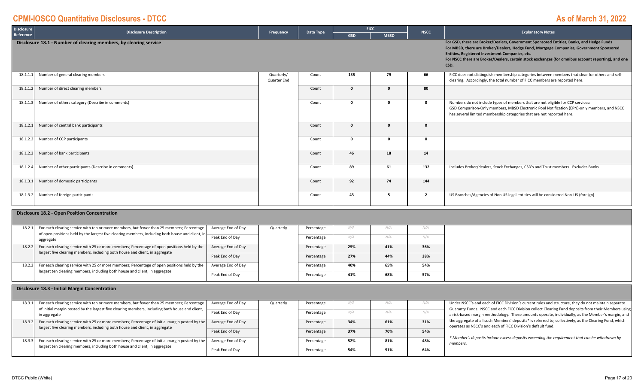| <b>Disclosure</b> | <b>Disclosure Description</b>                                                                                                                                               |                    |                           | Data Type  |            | <b>FICC</b>  | <b>NSCC</b>    | <b>Explanatory Notes</b>                                                                                                                                                                                                                                                                                                                               |  |
|-------------------|-----------------------------------------------------------------------------------------------------------------------------------------------------------------------------|--------------------|---------------------------|------------|------------|--------------|----------------|--------------------------------------------------------------------------------------------------------------------------------------------------------------------------------------------------------------------------------------------------------------------------------------------------------------------------------------------------------|--|
| Reference         |                                                                                                                                                                             |                    | Frequency                 |            | <b>GSD</b> | <b>MBSD</b>  |                |                                                                                                                                                                                                                                                                                                                                                        |  |
|                   | Disclosure 18.1 - Number of clearing members, by clearing service                                                                                                           |                    |                           |            |            |              |                | For GSD, there are Broker/Dealers, Government Sponsored Entities, Banks, and Hedge Funds<br>For MBSD, there are Broker/Dealers, Hedge Fund, Mortgage Companies, Government Sponsored<br>Entities, Registered Investment Companies, etc.<br>For NSCC there are Broker/Dealers, certain stock exchanges (for omnibus account reporting), and one<br>CSD. |  |
| 18.1.1.1          | Number of general clearing members                                                                                                                                          |                    | Quarterly/<br>Quarter End | Count      | 135        | 79           | 66             | FICC does not distinguish membership categories between members that clear for others and self-<br>clearing. Accordingly, the total number of FICC members are reported here.                                                                                                                                                                          |  |
| 18.1.1.2          | Number of direct clearing members                                                                                                                                           |                    |                           | Count      | $\Omega$   | $\mathbf 0$  | 80             |                                                                                                                                                                                                                                                                                                                                                        |  |
| 18.1.1.3          | Number of others category (Describe in comments)                                                                                                                            |                    |                           | Count      | $\Omega$   | $\mathbf 0$  | $\mathbf{o}$   | Numbers do not include types of members that are not eligible for CCP services:<br>GSD Comparison-Only members, MBSD Electronic Pool Notification (EPN)-only members, and NSCC<br>has several limited membership categories that are not reported here.                                                                                                |  |
| 18.1.2.1          | Number of central bank participants                                                                                                                                         |                    |                           | Count      | $\Omega$   | $\mathbf{0}$ | $\Omega$       |                                                                                                                                                                                                                                                                                                                                                        |  |
| 18.1.2.2          | Number of CCP participants                                                                                                                                                  |                    |                           | Count      | $\Omega$   | $\mathbf 0$  | $\Omega$       |                                                                                                                                                                                                                                                                                                                                                        |  |
| 18.1.2.3          | Number of bank participants                                                                                                                                                 |                    |                           | Count      | 46         | 18           | 14             |                                                                                                                                                                                                                                                                                                                                                        |  |
| 18.1.2.4          | Number of other participants (Describe in comments)                                                                                                                         |                    |                           | Count      | 89         | 61           | 132            | Includes Broker/dealers, Stock Exchanges, CSD's and Trust members. Excludes Banks.                                                                                                                                                                                                                                                                     |  |
| 18.1.3.1          | Number of domestic participants                                                                                                                                             |                    |                           | Count      | 92         | 74           | 144            |                                                                                                                                                                                                                                                                                                                                                        |  |
| 18.1.3.2          | Number of foreign participants                                                                                                                                              |                    |                           | Count      | 43         | 5            | $\overline{2}$ | US Branches/Agencies of Non US legal entities will be considered Non-US (foreign)                                                                                                                                                                                                                                                                      |  |
|                   | <b>Disclosure 18.2 - Open Position Concentration</b>                                                                                                                        |                    |                           |            |            |              |                |                                                                                                                                                                                                                                                                                                                                                        |  |
| 18.2.1            | For each clearing service with ten or more members, but fewer than 25 members; Percentage                                                                                   | Average End of Day | Quarterly                 | Percentage | N/A        | N/A          | N/A            |                                                                                                                                                                                                                                                                                                                                                        |  |
|                   | of open positions held by the largest five clearing members, including both house and client, ir<br>aggregate                                                               | Peak End of Day    |                           | Percentage | N/A        | N/A          | N/A            |                                                                                                                                                                                                                                                                                                                                                        |  |
| 18.2.2            | For each clearing service with 25 or more members; Percentage of open positions held by the<br>largest five clearing members, including both house and client, in aggregate | Average End of Day |                           | Percentage | 25%        | 41%          | 36%            |                                                                                                                                                                                                                                                                                                                                                        |  |
|                   |                                                                                                                                                                             | Peak End of Day    |                           | Percentage | 27%        | 44%          | 38%            |                                                                                                                                                                                                                                                                                                                                                        |  |
| 18.2.3            | For each clearing service with 25 or more members; Percentage of open positions held by the<br>largest ten clearing members, including both house and client, in aggregate  | Average End of Day |                           | Percentage | 40%        | 65%          | 54%            |                                                                                                                                                                                                                                                                                                                                                        |  |
|                   |                                                                                                                                                                             | Peak End of Day    |                           | Percentage | 41%        | 68%          | 57%            |                                                                                                                                                                                                                                                                                                                                                        |  |
|                   | Disclosure 18.3 - Initial Margin Concentration                                                                                                                              |                    |                           |            |            |              |                |                                                                                                                                                                                                                                                                                                                                                        |  |

#### **18.3 ‐ Initial Margin Concentration**

| 18.3.1 | For each clearing service with ten or more members, but fewer than 25 members; Percentage<br>of initial margin posted by the largest five clearing members, including both house and client, | Average End of Day<br>Peak End of Dav | Quarterly | Percentage<br>Percentage |     |     | IV/A<br>N/A | Under NSCC's and each of FICC Division's current rules and structure, they do not maintain separate<br>Guaranty Funds. NSCC and each FICC Division collect Clearing Fund deposits from their Members using |
|--------|----------------------------------------------------------------------------------------------------------------------------------------------------------------------------------------------|---------------------------------------|-----------|--------------------------|-----|-----|-------------|------------------------------------------------------------------------------------------------------------------------------------------------------------------------------------------------------------|
|        | in aggregate                                                                                                                                                                                 |                                       |           |                          |     |     |             | a risk-based margin methodology. These amounts operate, individually, as the Member's margin, and                                                                                                          |
| 18.3.2 | For each clearing service with 25 or more members; Percentage of initial margin posted by the<br>largest five clearing members, including both house and client, in aggregate                | Average End of Day                    |           | Percentage               | 34% | 61% | 31%         | the aggregate of all such Members' deposits* is referred to, collectively, as the Clearing Fund, which<br>operates as NSCC's and each of FICC Division's default fund.                                     |
|        |                                                                                                                                                                                              | Peak End of Dav                       |           | Percentage               | 37% | 70% | 54%         |                                                                                                                                                                                                            |
| 18.3.3 | For each clearing service with 25 or more members; Percentage of initial margin posted by the<br>largest ten clearing members, including both house and client, in aggregate                 | Average End of Day                    |           | Percentage               | 52% | 81% | 48%         | * Member's deposits include excess deposits exceeding the requirement that can be withdrawn by<br>members.                                                                                                 |
|        |                                                                                                                                                                                              | Peak End of Dav                       |           | Percentage               | 54% | 91% | 64%         |                                                                                                                                                                                                            |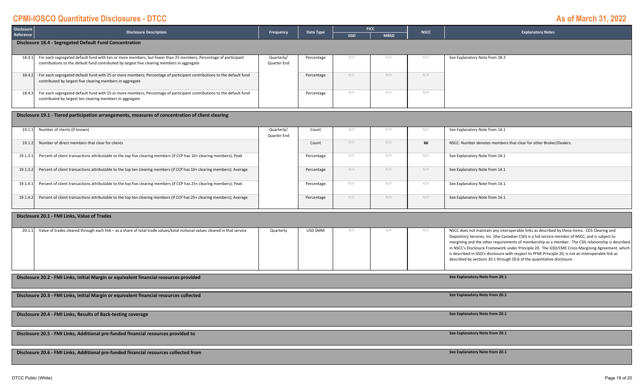| Disclosure | <b>Disclosure Description</b>                                                                                         | Frequency   | Data Type  | <b>FICC</b> |             | <b>NSCC</b> | <b>Explanatory Notes</b>                                          |  |  |  |
|------------|-----------------------------------------------------------------------------------------------------------------------|-------------|------------|-------------|-------------|-------------|-------------------------------------------------------------------|--|--|--|
| Reference  |                                                                                                                       |             |            | <b>GSD</b>  | <b>MBSD</b> |             |                                                                   |  |  |  |
|            | Disclosure 18.4 - Segregated Default Fund Concentration                                                               |             |            |             |             |             |                                                                   |  |  |  |
|            |                                                                                                                       |             |            |             |             |             |                                                                   |  |  |  |
| 18.4.1     | For each segregated default fund with ten or more members, but fewer than 25 members; Percentage of participant       | Quarterly/  | Percentage | N/A         |             |             | See Explanatory Note from 18.3                                    |  |  |  |
|            | contributions to the default fund contributed by largest five clearing members in aggregate                           | Quarter End |            |             |             |             |                                                                   |  |  |  |
|            |                                                                                                                       |             |            |             |             |             |                                                                   |  |  |  |
| 18.4.2     | For each segregated default fund with 25 or more members; Percentage of participant contributions to the default fund |             | Percentage | N/A         | N/A         | N/A         |                                                                   |  |  |  |
|            | contributed by largest five clearing members in aggregate                                                             |             |            |             |             |             |                                                                   |  |  |  |
| 18.4.3     | For each segregated default fund with 25 or more members; Percentage of participant contributions to the default fund |             |            | N/A         | N/A         | N/A         |                                                                   |  |  |  |
|            | contributed by largest ten clearing members in aggregate                                                              |             | Percentage |             |             |             |                                                                   |  |  |  |
|            |                                                                                                                       |             |            |             |             |             |                                                                   |  |  |  |
|            |                                                                                                                       |             |            |             |             |             |                                                                   |  |  |  |
|            | Disclosure 19.1 - Tiered participation arrangements, measures of concentration of client clearing                     |             |            |             |             |             |                                                                   |  |  |  |
|            |                                                                                                                       |             |            |             |             |             |                                                                   |  |  |  |
| 19.1.1     | Number of clients (if known)                                                                                          | Quarterly/  | Count      | N/A         | N/A         | N/A         | See Explanatory Note from 14.1                                    |  |  |  |
|            |                                                                                                                       | Quarter End |            |             |             |             |                                                                   |  |  |  |
| 19.1.2     | Number of direct members that clear for clients                                                                       |             | Count      | N/A         | N/A         | 66          | NSCC: Number denotes members that clear for other Broker/Dealers. |  |  |  |

| 19.1.3. | Percent of client transactions attributable to the top five clearing members (if CCP has 10+ clearing members); Peak   | Percentage |     | N/A | N/A | See Explanatory Note from 14.1 |
|---------|------------------------------------------------------------------------------------------------------------------------|------------|-----|-----|-----|--------------------------------|
| 19.1.3. | Percent of client transactions attributable to the top ten clearing members (if CCP has 10+ clearing members); Average | Percentage | V/A | N/A | N/A | See Explanatory Note from 14.1 |
| 19.1.4. | Percent of client transactions attributable to the top five clearing members (if CCP has 25+ clearing members); Peak   | Percentage |     | N/A | N/A | See Explanatory Note from 14.1 |
| 19.1.4. | Percent of client transactions attributable to the top ten clearing members (if CCP has 25+ clearing members); Average | Percentage | V/A | N/A | N/A | See Explanatory Note from 14.1 |

#### **Disclosure 20.1 ‐ FMI Links, Value of Trades**

| 20.1. | Value of trades cleared through each link - as a share of total trade values/total notional values cleared in that service | Quarterly | USD \$MM |  | NSCC does not maintain any interoperable links as described by these items. CDS Clearing and        |
|-------|----------------------------------------------------------------------------------------------------------------------------|-----------|----------|--|-----------------------------------------------------------------------------------------------------|
|       |                                                                                                                            |           |          |  | Depository Services, Inc. (the Canadian CSD) is a full service member of NSCC, and is subject to    |
|       |                                                                                                                            |           |          |  | margining and the other requirements of membership as a member. The CDS relationship is described   |
|       |                                                                                                                            |           |          |  | in NSCC's Disclosure Framework under Principle 20. The GSD/CME Cross-Margining Agreement, which     |
|       |                                                                                                                            |           |          |  | is described in GSD's disclosure with respect to PFMI Principle 20, is not an interoperable link as |
|       |                                                                                                                            |           |          |  | described by sections 20.1 through 20.6 of the quantitative disclosure.                             |
|       |                                                                                                                            |           |          |  |                                                                                                     |
|       |                                                                                                                            |           |          |  |                                                                                                     |

**Disclosure 20.2 ‐ FMI Links, Initial Margin or equivalent financial resources provided**

**Disclosure 20.3 ‐ FMI Links, Initial Margin or equivalent financial resources collected**

**Disclosure 20.4 ‐ FMI Links, Results of Back‐testing coverage**

**Disclosure 20.5 ‐ FMI Links, Additional pre‐funded financial resources provided to**

**Disclosure 20.6 ‐ FMI Links, Additional pre‐funded financial resources collected from**

**See Explanatory Note from 20.1 See Explanatory Note from 20.1**

**See Explanatory Note from 20.1**

**See Explanatory Note from 20.1**

**See Explanatory Note from 20.1**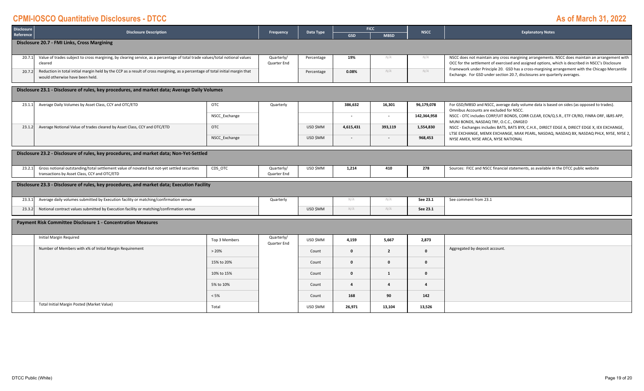| Disclosure                                   | <b>Disclosure Description</b>                                                                                                                                     | <b>FICC</b><br>Data Type<br>Frequency |                           |            | <b>NSCC</b>              | <b>Explanatory Notes</b> |                         |                                                                                                                                                                                                      |  |  |  |
|----------------------------------------------|-------------------------------------------------------------------------------------------------------------------------------------------------------------------|---------------------------------------|---------------------------|------------|--------------------------|--------------------------|-------------------------|------------------------------------------------------------------------------------------------------------------------------------------------------------------------------------------------------|--|--|--|
| Reference                                    |                                                                                                                                                                   |                                       |                           |            | <b>GSD</b>               | <b>MBSD</b>              |                         |                                                                                                                                                                                                      |  |  |  |
| Disclosure 20.7 - FMI Links, Cross Margining |                                                                                                                                                                   |                                       |                           |            |                          |                          |                         |                                                                                                                                                                                                      |  |  |  |
|                                              |                                                                                                                                                                   |                                       |                           |            |                          |                          |                         |                                                                                                                                                                                                      |  |  |  |
| 20.7.1                                       | Value of trades subject to cross margining, by clearing service, as a percentage of total trade values/total notional values<br>cleared                           |                                       | Quarterly/<br>Quarter End | Percentage | 19%                      | N/A                      | N/A                     | NSCC does not maintain any cross margining arrangements. NSCC does maintain an arrangement with                                                                                                      |  |  |  |
|                                              |                                                                                                                                                                   |                                       |                           |            |                          |                          |                         | OCC for the settlement of exercised and assigned options, which is described in NSCC's Disclosure<br>Framework under Principle 20. GSD has a cross-margining arrangement with the Chicago Mercantile |  |  |  |
| 20.7.2                                       | Reduction in total initial margin held by the CCP as a result of cross margining, as a percentage of total initial margin that<br>would otherwise have been held. |                                       |                           | Percentage | 0.08%                    | N/A                      | N/A                     | Exchange. For GSD under section 20.7, disclosures are quarterly averages.                                                                                                                            |  |  |  |
|                                              |                                                                                                                                                                   |                                       |                           |            |                          |                          |                         |                                                                                                                                                                                                      |  |  |  |
|                                              | Disclosure 23.1 - Disclosure of rules, key procedures, and market data; Average Daily Volumes                                                                     |                                       |                           |            |                          |                          |                         |                                                                                                                                                                                                      |  |  |  |
|                                              |                                                                                                                                                                   |                                       |                           |            |                          |                          |                         |                                                                                                                                                                                                      |  |  |  |
| 23.1.1                                       | Average Daily Volumes by Asset Class, CCY and OTC/ETD                                                                                                             | <b>OTC</b>                            | Quarterly                 |            | 386,632                  | 16,301                   | 96,179,078              | For GSD/MBSD and NSCC, average daily volume data is based on sides (as opposed to trades).<br>Omnibus Accounts are excluded for NSCC.                                                                |  |  |  |
|                                              |                                                                                                                                                                   | NSCC Exchange                         |                           |            | $\overline{\phantom{a}}$ | $\overline{\phantom{a}}$ | 142,364,958             | NSCC - OTC includes CORP/UIT BONDS, CORR CLEAR, ECN/Q.S.R., ETF CR/RD, FINRA ORF, I&RS APP,<br>MUNI BONDS, NASDAQ TRF, O.C.C., OMGEO                                                                 |  |  |  |
| 23.1.2                                       | Average Notional Value of trades cleared by Asset Class, CCY and OTC/ETD                                                                                          | <b>OTC</b>                            |                           | USD \$MM   | 4,615,431                | 393,119                  | 1,554,830               | NSCC - Exchanges includes BATS, BATS BYX, C.H.X., DIRECT EDGE A, DIRECT EDGE X, IEX EXCHANGE,                                                                                                        |  |  |  |
|                                              |                                                                                                                                                                   | NSCC Exchange                         |                           | USD \$MM   | $\sim$                   |                          | 968,453                 | LTSE EXCHANGE, MEMX EXCHANGE, MIAX PEARL, NASDAQ, NASDAQ BX, NASDAQ PHLX, NYSE, NYSE 2,                                                                                                              |  |  |  |
|                                              |                                                                                                                                                                   |                                       |                           |            |                          |                          |                         | NYSE AMEX, NYSE ARCA, NYSE NATIONAL                                                                                                                                                                  |  |  |  |
|                                              | Disclosure 23.2 - Disclosure of rules, key procedures, and market data; Non-Yet-Settled                                                                           |                                       |                           |            |                          |                          |                         |                                                                                                                                                                                                      |  |  |  |
|                                              |                                                                                                                                                                   |                                       |                           |            |                          |                          |                         |                                                                                                                                                                                                      |  |  |  |
| 23.2.1                                       | Gross notional outstanding/total settlement value of novated but not-yet settled securities                                                                       | CDS OTC                               | Quarterly/                | USD \$MM   | 1,214                    | 410                      | 278                     | Sources: FICC and NSCC financial statements, as available in the DTCC public website                                                                                                                 |  |  |  |
|                                              | transactions by Asset Class, CCY and OTC/ETD                                                                                                                      |                                       | Quarter End               |            |                          |                          |                         |                                                                                                                                                                                                      |  |  |  |
|                                              | Disclosure 23.3 - Disclosure of rules, key procedures, and market data; Execution Facility                                                                        |                                       |                           |            |                          |                          |                         |                                                                                                                                                                                                      |  |  |  |
|                                              |                                                                                                                                                                   |                                       |                           |            |                          |                          |                         |                                                                                                                                                                                                      |  |  |  |
| 23.3.1                                       | Average daily volumes submitted by Execution facility or matching/confirmation venue                                                                              |                                       | Quarterly                 |            | N/A                      | N/A                      | See 23.1                | See comment from 23.1                                                                                                                                                                                |  |  |  |
| 23.3.2                                       | Notional contract values submitted by Execution facility or matching/confirmation venue                                                                           |                                       |                           | USD \$MM   | N/A                      | N/A                      | See 23.1                |                                                                                                                                                                                                      |  |  |  |
|                                              |                                                                                                                                                                   |                                       |                           |            |                          |                          |                         |                                                                                                                                                                                                      |  |  |  |
|                                              | <b>Payment Risk Committee Disclosure 1 - Concentration Measures</b>                                                                                               |                                       |                           |            |                          |                          |                         |                                                                                                                                                                                                      |  |  |  |
|                                              |                                                                                                                                                                   |                                       |                           |            |                          |                          |                         |                                                                                                                                                                                                      |  |  |  |
|                                              | Initial Margin Required                                                                                                                                           | Top 3 Members                         | Quarterly/<br>Quarter End | USD \$MM   | 4,159                    | 5,667                    | 2,873                   |                                                                                                                                                                                                      |  |  |  |
|                                              | Number of Members with x% of Initial Margin Requirement                                                                                                           | >20%                                  |                           | Count      | $\Omega$                 | $\overline{2}$           | $\mathbf{0}$            | Aggregated by deposit account.                                                                                                                                                                       |  |  |  |
|                                              |                                                                                                                                                                   |                                       |                           |            |                          |                          |                         |                                                                                                                                                                                                      |  |  |  |
|                                              |                                                                                                                                                                   | 15% to 20%                            |                           | Count      | $\mathbf{0}$             | $\mathbf{0}$             | $\mathbf{0}$            |                                                                                                                                                                                                      |  |  |  |
|                                              |                                                                                                                                                                   | 10% to 15%                            |                           | Count      | $\mathbf{0}$             | 1                        | $\mathbf{0}$            |                                                                                                                                                                                                      |  |  |  |
|                                              |                                                                                                                                                                   | 5% to 10%                             |                           | Count      | $\overline{a}$           | $\overline{a}$           | $\overline{\mathbf{4}}$ |                                                                                                                                                                                                      |  |  |  |
|                                              |                                                                                                                                                                   | < 5%                                  |                           | Count      | 168                      | 90                       | 142                     |                                                                                                                                                                                                      |  |  |  |
|                                              | Total Initial Margin Posted (Market Value)                                                                                                                        | Total                                 |                           | USD \$MM   | 26,971                   | 13,104                   | 13,526                  |                                                                                                                                                                                                      |  |  |  |